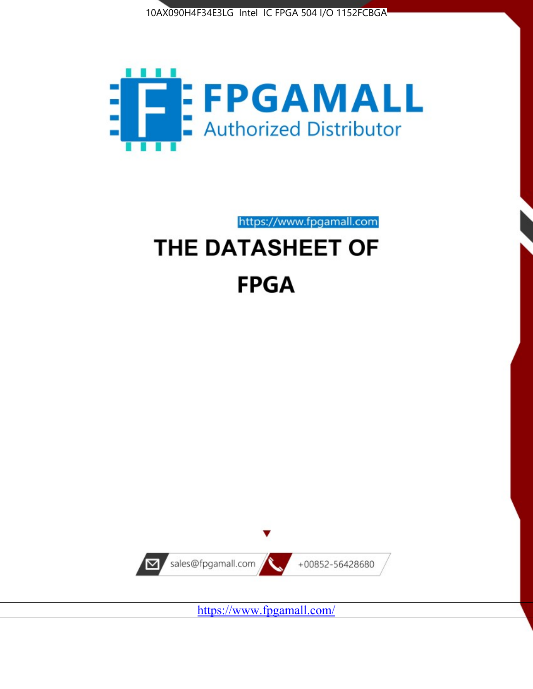



https://www.fpgamall.com

# THE DATASHEET OF **FPGA**



<https://www.fpgamall.com/>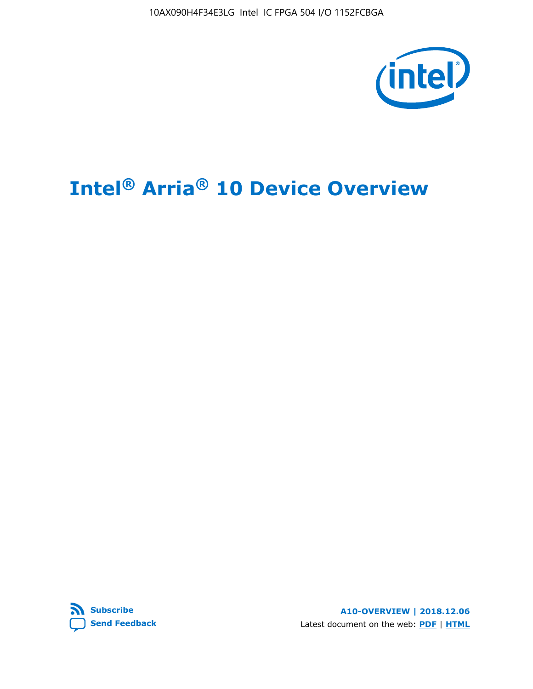10AX090H4F34E3LG Intel IC FPGA 504 I/O 1152FCBGA



# **Intel® Arria® 10 Device Overview**



**A10-OVERVIEW | 2018.12.06** Latest document on the web: **[PDF](https://www.intel.com/content/dam/www/programmable/us/en/pdfs/literature/hb/arria-10/a10_overview.pdf)** | **[HTML](https://www.intel.com/content/www/us/en/programmable/documentation/sam1403480274650.html)**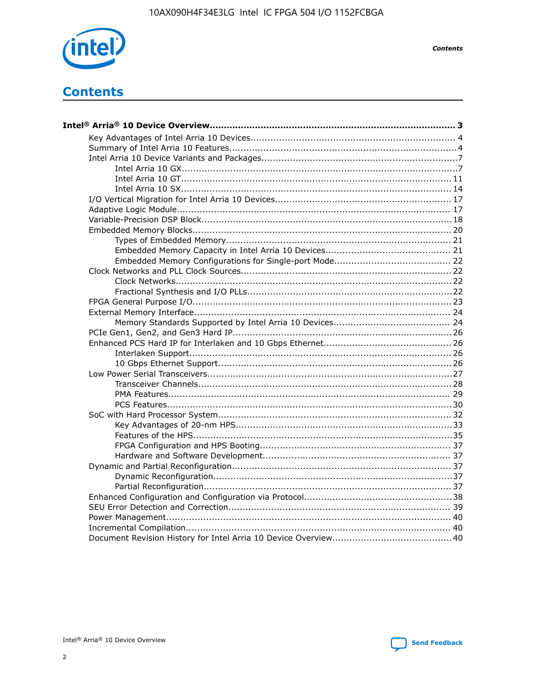

**Contents** 

# **Contents**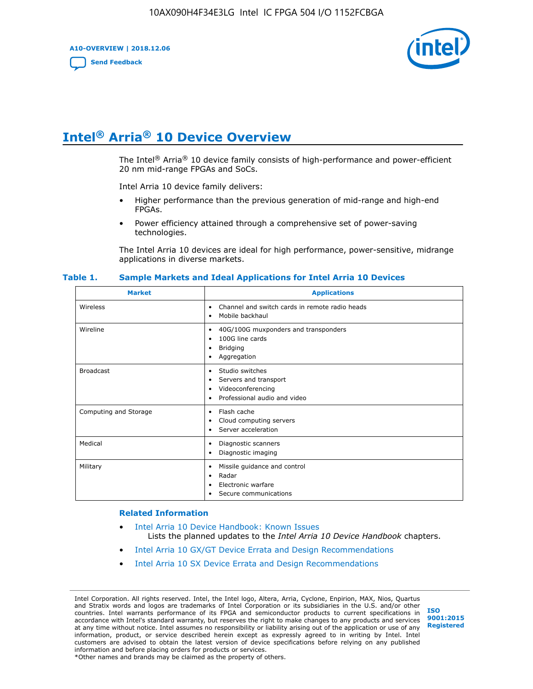**A10-OVERVIEW | 2018.12.06**

**[Send Feedback](mailto:FPGAtechdocfeedback@intel.com?subject=Feedback%20on%20Intel%20Arria%2010%20Device%20Overview%20(A10-OVERVIEW%202018.12.06)&body=We%20appreciate%20your%20feedback.%20In%20your%20comments,%20also%20specify%20the%20page%20number%20or%20paragraph.%20Thank%20you.)**



# **Intel® Arria® 10 Device Overview**

The Intel<sup>®</sup> Arria<sup>®</sup> 10 device family consists of high-performance and power-efficient 20 nm mid-range FPGAs and SoCs.

Intel Arria 10 device family delivers:

- Higher performance than the previous generation of mid-range and high-end FPGAs.
- Power efficiency attained through a comprehensive set of power-saving technologies.

The Intel Arria 10 devices are ideal for high performance, power-sensitive, midrange applications in diverse markets.

| <b>Market</b>         | <b>Applications</b>                                                                                               |
|-----------------------|-------------------------------------------------------------------------------------------------------------------|
| Wireless              | Channel and switch cards in remote radio heads<br>٠<br>Mobile backhaul<br>٠                                       |
| Wireline              | 40G/100G muxponders and transponders<br>٠<br>100G line cards<br>٠<br><b>Bridging</b><br>٠<br>Aggregation<br>٠     |
| <b>Broadcast</b>      | Studio switches<br>٠<br>Servers and transport<br>٠<br>Videoconferencing<br>٠<br>Professional audio and video<br>٠ |
| Computing and Storage | Flash cache<br>٠<br>Cloud computing servers<br>٠<br>Server acceleration<br>٠                                      |
| Medical               | Diagnostic scanners<br>٠<br>Diagnostic imaging<br>٠                                                               |
| Military              | Missile guidance and control<br>٠<br>Radar<br>٠<br>Electronic warfare<br>٠<br>Secure communications<br>٠          |

#### **Table 1. Sample Markets and Ideal Applications for Intel Arria 10 Devices**

#### **Related Information**

- [Intel Arria 10 Device Handbook: Known Issues](http://www.altera.com/support/kdb/solutions/rd07302013_646.html) Lists the planned updates to the *Intel Arria 10 Device Handbook* chapters.
- [Intel Arria 10 GX/GT Device Errata and Design Recommendations](https://www.intel.com/content/www/us/en/programmable/documentation/agz1493851706374.html#yqz1494433888646)
- [Intel Arria 10 SX Device Errata and Design Recommendations](https://www.intel.com/content/www/us/en/programmable/documentation/cru1462832385668.html#cru1462832558642)

Intel Corporation. All rights reserved. Intel, the Intel logo, Altera, Arria, Cyclone, Enpirion, MAX, Nios, Quartus and Stratix words and logos are trademarks of Intel Corporation or its subsidiaries in the U.S. and/or other countries. Intel warrants performance of its FPGA and semiconductor products to current specifications in accordance with Intel's standard warranty, but reserves the right to make changes to any products and services at any time without notice. Intel assumes no responsibility or liability arising out of the application or use of any information, product, or service described herein except as expressly agreed to in writing by Intel. Intel customers are advised to obtain the latest version of device specifications before relying on any published information and before placing orders for products or services. \*Other names and brands may be claimed as the property of others.

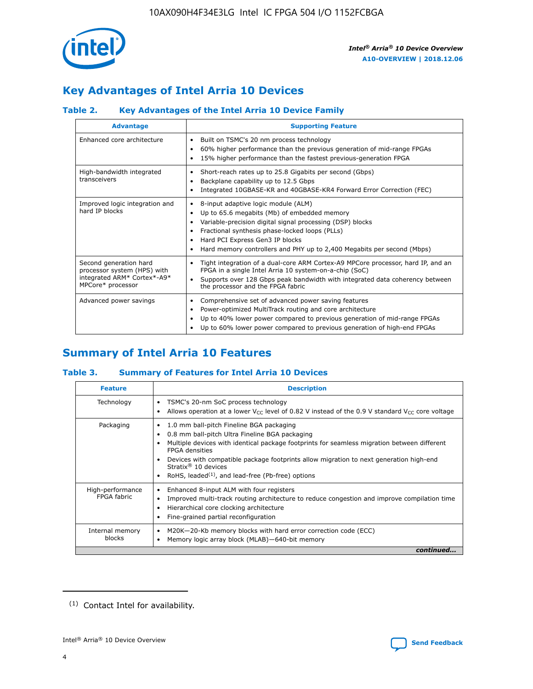

# **Key Advantages of Intel Arria 10 Devices**

## **Table 2. Key Advantages of the Intel Arria 10 Device Family**

| <b>Advantage</b>                                                                                          | <b>Supporting Feature</b>                                                                                                                                                                                                                                                                                                |  |  |  |  |  |  |
|-----------------------------------------------------------------------------------------------------------|--------------------------------------------------------------------------------------------------------------------------------------------------------------------------------------------------------------------------------------------------------------------------------------------------------------------------|--|--|--|--|--|--|
| Enhanced core architecture                                                                                | Built on TSMC's 20 nm process technology<br>٠<br>60% higher performance than the previous generation of mid-range FPGAs<br>٠<br>15% higher performance than the fastest previous-generation FPGA<br>٠                                                                                                                    |  |  |  |  |  |  |
| High-bandwidth integrated<br>transceivers                                                                 | Short-reach rates up to 25.8 Gigabits per second (Gbps)<br>٠<br>Backplane capability up to 12.5 Gbps<br>٠<br>Integrated 10GBASE-KR and 40GBASE-KR4 Forward Error Correction (FEC)<br>٠                                                                                                                                   |  |  |  |  |  |  |
| Improved logic integration and<br>hard IP blocks                                                          | 8-input adaptive logic module (ALM)<br>٠<br>Up to 65.6 megabits (Mb) of embedded memory<br>٠<br>Variable-precision digital signal processing (DSP) blocks<br>Fractional synthesis phase-locked loops (PLLs)<br>Hard PCI Express Gen3 IP blocks<br>Hard memory controllers and PHY up to 2,400 Megabits per second (Mbps) |  |  |  |  |  |  |
| Second generation hard<br>processor system (HPS) with<br>integrated ARM* Cortex*-A9*<br>MPCore* processor | Tight integration of a dual-core ARM Cortex-A9 MPCore processor, hard IP, and an<br>٠<br>FPGA in a single Intel Arria 10 system-on-a-chip (SoC)<br>Supports over 128 Gbps peak bandwidth with integrated data coherency between<br>$\bullet$<br>the processor and the FPGA fabric                                        |  |  |  |  |  |  |
| Advanced power savings                                                                                    | Comprehensive set of advanced power saving features<br>٠<br>Power-optimized MultiTrack routing and core architecture<br>٠<br>Up to 40% lower power compared to previous generation of mid-range FPGAs<br>٠<br>Up to 60% lower power compared to previous generation of high-end FPGAs                                    |  |  |  |  |  |  |

# **Summary of Intel Arria 10 Features**

## **Table 3. Summary of Features for Intel Arria 10 Devices**

| <b>Feature</b>                  | <b>Description</b>                                                                                                                                                                                                                                                                                                                                                                                           |
|---------------------------------|--------------------------------------------------------------------------------------------------------------------------------------------------------------------------------------------------------------------------------------------------------------------------------------------------------------------------------------------------------------------------------------------------------------|
| Technology                      | TSMC's 20-nm SoC process technology<br>Allows operation at a lower $V_{\text{CC}}$ level of 0.82 V instead of the 0.9 V standard $V_{\text{CC}}$ core voltage                                                                                                                                                                                                                                                |
| Packaging                       | 1.0 mm ball-pitch Fineline BGA packaging<br>٠<br>0.8 mm ball-pitch Ultra Fineline BGA packaging<br>Multiple devices with identical package footprints for seamless migration between different<br><b>FPGA</b> densities<br>Devices with compatible package footprints allow migration to next generation high-end<br>Stratix <sup>®</sup> 10 devices<br>RoHS, leaded $(1)$ , and lead-free (Pb-free) options |
| High-performance<br>FPGA fabric | Enhanced 8-input ALM with four registers<br>Improved multi-track routing architecture to reduce congestion and improve compilation time<br>Hierarchical core clocking architecture<br>Fine-grained partial reconfiguration                                                                                                                                                                                   |
| Internal memory<br>blocks       | M20K-20-Kb memory blocks with hard error correction code (ECC)<br>Memory logic array block (MLAB)-640-bit memory                                                                                                                                                                                                                                                                                             |
|                                 | continued                                                                                                                                                                                                                                                                                                                                                                                                    |



<sup>(1)</sup> Contact Intel for availability.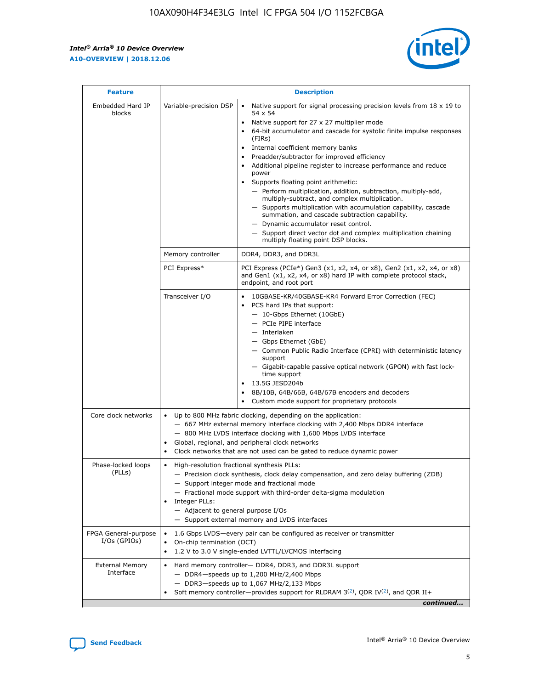r



| <b>Feature</b>                         | <b>Description</b>                                                                                             |                                                                                                                                                                                                                                                                                                                                                                                                                                                                                                                                                                                                                                                                                                                                                                                                                                                                  |  |  |  |  |  |
|----------------------------------------|----------------------------------------------------------------------------------------------------------------|------------------------------------------------------------------------------------------------------------------------------------------------------------------------------------------------------------------------------------------------------------------------------------------------------------------------------------------------------------------------------------------------------------------------------------------------------------------------------------------------------------------------------------------------------------------------------------------------------------------------------------------------------------------------------------------------------------------------------------------------------------------------------------------------------------------------------------------------------------------|--|--|--|--|--|
| Embedded Hard IP<br>blocks             | Variable-precision DSP                                                                                         | Native support for signal processing precision levels from $18 \times 19$ to<br>$\bullet$<br>54 x 54<br>Native support for 27 x 27 multiplier mode<br>$\bullet$<br>64-bit accumulator and cascade for systolic finite impulse responses<br>(FIRs)<br>Internal coefficient memory banks<br>$\bullet$<br>Preadder/subtractor for improved efficiency<br>Additional pipeline register to increase performance and reduce<br>power<br>Supports floating point arithmetic:<br>- Perform multiplication, addition, subtraction, multiply-add,<br>multiply-subtract, and complex multiplication.<br>- Supports multiplication with accumulation capability, cascade<br>summation, and cascade subtraction capability.<br>- Dynamic accumulator reset control.<br>- Support direct vector dot and complex multiplication chaining<br>multiply floating point DSP blocks. |  |  |  |  |  |
|                                        | Memory controller                                                                                              | DDR4, DDR3, and DDR3L                                                                                                                                                                                                                                                                                                                                                                                                                                                                                                                                                                                                                                                                                                                                                                                                                                            |  |  |  |  |  |
|                                        | PCI Express*                                                                                                   | PCI Express (PCIe*) Gen3 (x1, x2, x4, or x8), Gen2 (x1, x2, x4, or x8)<br>and Gen1 (x1, x2, x4, or x8) hard IP with complete protocol stack,<br>endpoint, and root port                                                                                                                                                                                                                                                                                                                                                                                                                                                                                                                                                                                                                                                                                          |  |  |  |  |  |
|                                        | Transceiver I/O                                                                                                | 10GBASE-KR/40GBASE-KR4 Forward Error Correction (FEC)<br>PCS hard IPs that support:<br>- 10-Gbps Ethernet (10GbE)<br>- PCIe PIPE interface<br>- Interlaken<br>- Gbps Ethernet (GbE)<br>- Common Public Radio Interface (CPRI) with deterministic latency<br>support<br>- Gigabit-capable passive optical network (GPON) with fast lock-<br>time support<br>13.5G JESD204b<br>$\bullet$<br>8B/10B, 64B/66B, 64B/67B encoders and decoders<br>Custom mode support for proprietary protocols                                                                                                                                                                                                                                                                                                                                                                        |  |  |  |  |  |
| Core clock networks                    | $\bullet$                                                                                                      | Up to 800 MHz fabric clocking, depending on the application:<br>- 667 MHz external memory interface clocking with 2,400 Mbps DDR4 interface<br>- 800 MHz LVDS interface clocking with 1,600 Mbps LVDS interface<br>Global, regional, and peripheral clock networks<br>Clock networks that are not used can be gated to reduce dynamic power                                                                                                                                                                                                                                                                                                                                                                                                                                                                                                                      |  |  |  |  |  |
| Phase-locked loops<br>(PLLs)           | High-resolution fractional synthesis PLLs:<br>$\bullet$<br>Integer PLLs:<br>- Adjacent to general purpose I/Os | - Precision clock synthesis, clock delay compensation, and zero delay buffering (ZDB)<br>- Support integer mode and fractional mode<br>- Fractional mode support with third-order delta-sigma modulation<br>- Support external memory and LVDS interfaces                                                                                                                                                                                                                                                                                                                                                                                                                                                                                                                                                                                                        |  |  |  |  |  |
| FPGA General-purpose<br>$I/Os$ (GPIOs) | On-chip termination (OCT)<br>٠<br>$\bullet$                                                                    | 1.6 Gbps LVDS-every pair can be configured as receiver or transmitter<br>1.2 V to 3.0 V single-ended LVTTL/LVCMOS interfacing                                                                                                                                                                                                                                                                                                                                                                                                                                                                                                                                                                                                                                                                                                                                    |  |  |  |  |  |
| <b>External Memory</b><br>Interface    | $\bullet$                                                                                                      | Hard memory controller- DDR4, DDR3, and DDR3L support<br>$-$ DDR4-speeds up to 1,200 MHz/2,400 Mbps<br>- DDR3-speeds up to 1,067 MHz/2,133 Mbps<br>Soft memory controller—provides support for RLDRAM $3^{(2)}$ , QDR IV $^{(2)}$ , and QDR II+<br>continued                                                                                                                                                                                                                                                                                                                                                                                                                                                                                                                                                                                                     |  |  |  |  |  |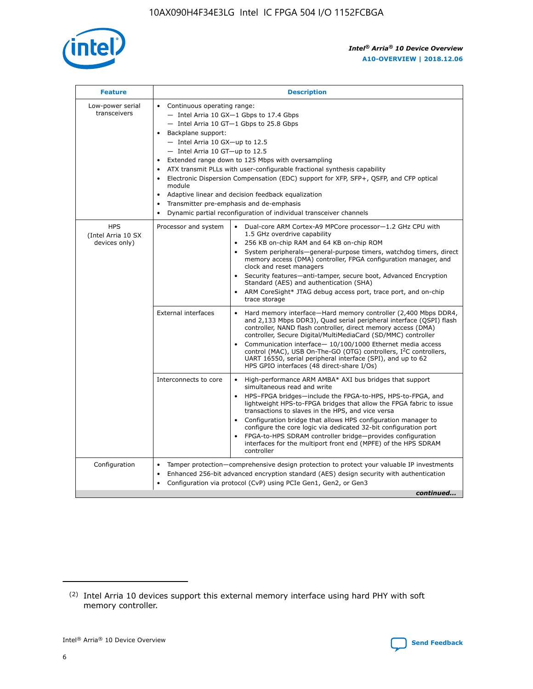

| <b>Feature</b>                                    | <b>Description</b>                                                                                                                                                                                                                                                                                                                                                                                                                                                                                                                                                                                                                         |
|---------------------------------------------------|--------------------------------------------------------------------------------------------------------------------------------------------------------------------------------------------------------------------------------------------------------------------------------------------------------------------------------------------------------------------------------------------------------------------------------------------------------------------------------------------------------------------------------------------------------------------------------------------------------------------------------------------|
| Low-power serial<br>transceivers                  | • Continuous operating range:<br>- Intel Arria 10 GX-1 Gbps to 17.4 Gbps<br>- Intel Arria 10 GT-1 Gbps to 25.8 Gbps<br>Backplane support:<br>$-$ Intel Arria 10 GX-up to 12.5<br>- Intel Arria 10 GT-up to 12.5<br>Extended range down to 125 Mbps with oversampling<br>ATX transmit PLLs with user-configurable fractional synthesis capability<br>Electronic Dispersion Compensation (EDC) support for XFP, SFP+, QSFP, and CFP optical<br>module<br>• Adaptive linear and decision feedback equalization<br>Transmitter pre-emphasis and de-emphasis<br>$\bullet$<br>Dynamic partial reconfiguration of individual transceiver channels |
| <b>HPS</b><br>(Intel Arria 10 SX<br>devices only) | Dual-core ARM Cortex-A9 MPCore processor-1.2 GHz CPU with<br>Processor and system<br>$\bullet$<br>1.5 GHz overdrive capability<br>256 KB on-chip RAM and 64 KB on-chip ROM<br>System peripherals-general-purpose timers, watchdog timers, direct<br>memory access (DMA) controller, FPGA configuration manager, and<br>clock and reset managers<br>Security features-anti-tamper, secure boot, Advanced Encryption<br>$\bullet$<br>Standard (AES) and authentication (SHA)<br>ARM CoreSight* JTAG debug access port, trace port, and on-chip<br>trace storage                                                                              |
|                                                   | <b>External interfaces</b><br>Hard memory interface-Hard memory controller (2,400 Mbps DDR4,<br>$\bullet$<br>and 2,133 Mbps DDR3), Quad serial peripheral interface (QSPI) flash<br>controller, NAND flash controller, direct memory access (DMA)<br>controller, Secure Digital/MultiMediaCard (SD/MMC) controller<br>Communication interface-10/100/1000 Ethernet media access<br>$\bullet$<br>control (MAC), USB On-The-GO (OTG) controllers, I <sup>2</sup> C controllers,<br>UART 16550, serial peripheral interface (SPI), and up to 62<br>HPS GPIO interfaces (48 direct-share I/Os)                                                 |
|                                                   | High-performance ARM AMBA* AXI bus bridges that support<br>Interconnects to core<br>$\bullet$<br>simultaneous read and write<br>HPS-FPGA bridges-include the FPGA-to-HPS, HPS-to-FPGA, and<br>$\bullet$<br>lightweight HPS-to-FPGA bridges that allow the FPGA fabric to issue<br>transactions to slaves in the HPS, and vice versa<br>Configuration bridge that allows HPS configuration manager to<br>configure the core logic via dedicated 32-bit configuration port<br>FPGA-to-HPS SDRAM controller bridge-provides configuration<br>interfaces for the multiport front end (MPFE) of the HPS SDRAM<br>controller                     |
| Configuration                                     | Tamper protection—comprehensive design protection to protect your valuable IP investments<br>Enhanced 256-bit advanced encryption standard (AES) design security with authentication<br>٠<br>Configuration via protocol (CvP) using PCIe Gen1, Gen2, or Gen3<br>continued                                                                                                                                                                                                                                                                                                                                                                  |

<sup>(2)</sup> Intel Arria 10 devices support this external memory interface using hard PHY with soft memory controller.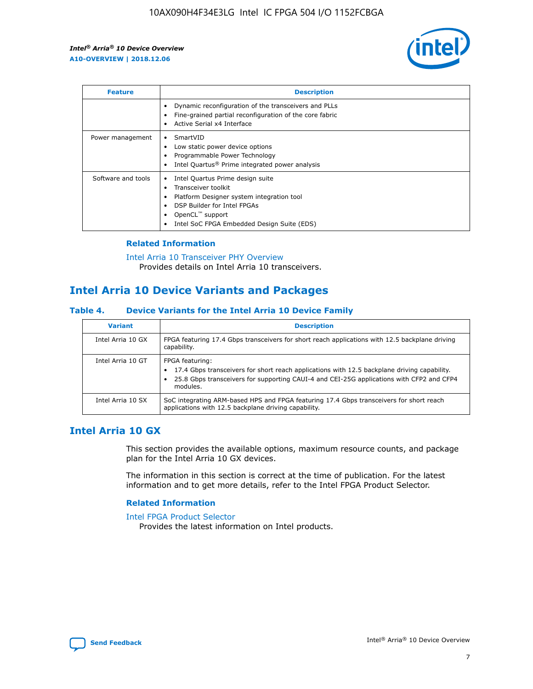

| <b>Feature</b>     | <b>Description</b>                                                                                                                                                                                               |
|--------------------|------------------------------------------------------------------------------------------------------------------------------------------------------------------------------------------------------------------|
|                    | Dynamic reconfiguration of the transceivers and PLLs<br>Fine-grained partial reconfiguration of the core fabric<br>Active Serial x4 Interface<br>$\bullet$                                                       |
| Power management   | SmartVID<br>Low static power device options<br>Programmable Power Technology<br>Intel Quartus <sup>®</sup> Prime integrated power analysis                                                                       |
| Software and tools | Intel Quartus Prime design suite<br>Transceiver toolkit<br>Platform Designer system integration tool<br>DSP Builder for Intel FPGAs<br>OpenCL <sup>™</sup> support<br>Intel SoC FPGA Embedded Design Suite (EDS) |

## **Related Information**

[Intel Arria 10 Transceiver PHY Overview](https://www.intel.com/content/www/us/en/programmable/documentation/nik1398707230472.html#nik1398706768037) Provides details on Intel Arria 10 transceivers.

# **Intel Arria 10 Device Variants and Packages**

#### **Table 4. Device Variants for the Intel Arria 10 Device Family**

| <b>Variant</b>    | <b>Description</b>                                                                                                                                                                                                     |
|-------------------|------------------------------------------------------------------------------------------------------------------------------------------------------------------------------------------------------------------------|
| Intel Arria 10 GX | FPGA featuring 17.4 Gbps transceivers for short reach applications with 12.5 backplane driving<br>capability.                                                                                                          |
| Intel Arria 10 GT | FPGA featuring:<br>17.4 Gbps transceivers for short reach applications with 12.5 backplane driving capability.<br>25.8 Gbps transceivers for supporting CAUI-4 and CEI-25G applications with CFP2 and CFP4<br>modules. |
| Intel Arria 10 SX | SoC integrating ARM-based HPS and FPGA featuring 17.4 Gbps transceivers for short reach<br>applications with 12.5 backplane driving capability.                                                                        |

# **Intel Arria 10 GX**

This section provides the available options, maximum resource counts, and package plan for the Intel Arria 10 GX devices.

The information in this section is correct at the time of publication. For the latest information and to get more details, refer to the Intel FPGA Product Selector.

#### **Related Information**

#### [Intel FPGA Product Selector](http://www.altera.com/products/selector/psg-selector.html) Provides the latest information on Intel products.

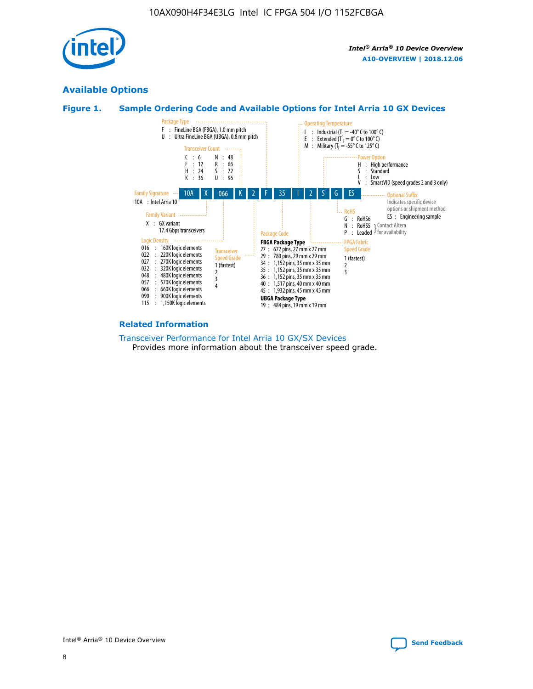

# **Available Options**





#### **Related Information**

[Transceiver Performance for Intel Arria 10 GX/SX Devices](https://www.intel.com/content/www/us/en/programmable/documentation/mcn1413182292568.html#mcn1413213965502) Provides more information about the transceiver speed grade.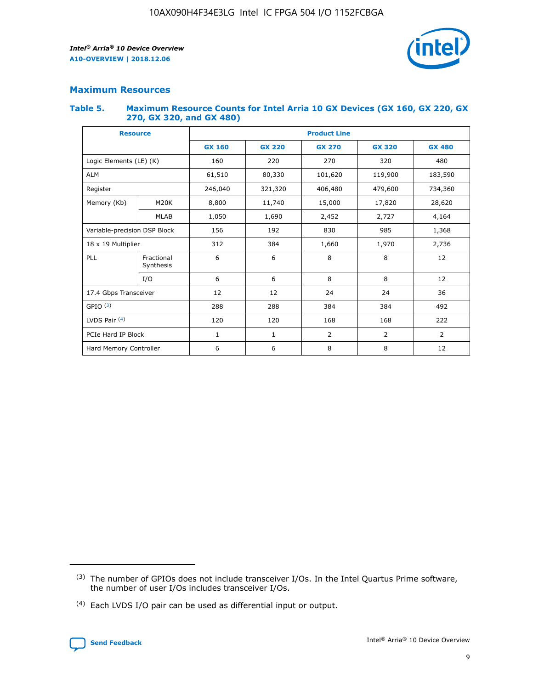

## **Maximum Resources**

#### **Table 5. Maximum Resource Counts for Intel Arria 10 GX Devices (GX 160, GX 220, GX 270, GX 320, and GX 480)**

| <b>Resource</b>              |                          | <b>Product Line</b> |                                                 |         |                |                |  |  |  |
|------------------------------|--------------------------|---------------------|-------------------------------------------------|---------|----------------|----------------|--|--|--|
|                              |                          | <b>GX 160</b>       | <b>GX 220</b><br><b>GX 270</b><br><b>GX 320</b> |         |                | <b>GX 480</b>  |  |  |  |
| Logic Elements (LE) (K)      |                          | 160                 | 220                                             | 270     | 320            | 480            |  |  |  |
| <b>ALM</b>                   |                          | 61,510              | 80,330                                          | 101,620 | 119,900        | 183,590        |  |  |  |
| Register                     |                          | 246,040             | 321,320                                         | 406,480 | 479,600        | 734,360        |  |  |  |
| Memory (Kb)                  | M <sub>20</sub> K        | 8,800               | 11,740                                          | 15,000  | 17,820         | 28,620         |  |  |  |
| <b>MLAB</b>                  |                          | 1,050               | 1,690                                           | 2,452   | 2,727          | 4,164          |  |  |  |
| Variable-precision DSP Block | 156<br>192<br>830<br>985 |                     |                                                 |         | 1,368          |                |  |  |  |
| 18 x 19 Multiplier           |                          | 312                 | 384                                             | 1,660   | 1,970          | 2,736          |  |  |  |
| PLL                          | Fractional<br>Synthesis  | 6                   | 6                                               | 8       | 8              | 12             |  |  |  |
|                              | I/O                      | 6                   | 6                                               | 8       | 8              | 12             |  |  |  |
| 17.4 Gbps Transceiver        |                          | 12                  | 12                                              | 24      | 24             | 36             |  |  |  |
| GPIO <sup>(3)</sup>          |                          | 288                 | 288                                             | 384     | 384            | 492            |  |  |  |
| LVDS Pair $(4)$              |                          | 120                 | 120                                             | 168     | 168            | 222            |  |  |  |
| PCIe Hard IP Block           |                          | 1                   | 1                                               | 2       | $\overline{2}$ | $\overline{2}$ |  |  |  |
| Hard Memory Controller       |                          | 6                   | 6                                               | 8       | 8              | 12             |  |  |  |

<sup>(4)</sup> Each LVDS I/O pair can be used as differential input or output.



<sup>(3)</sup> The number of GPIOs does not include transceiver I/Os. In the Intel Quartus Prime software, the number of user I/Os includes transceiver I/Os.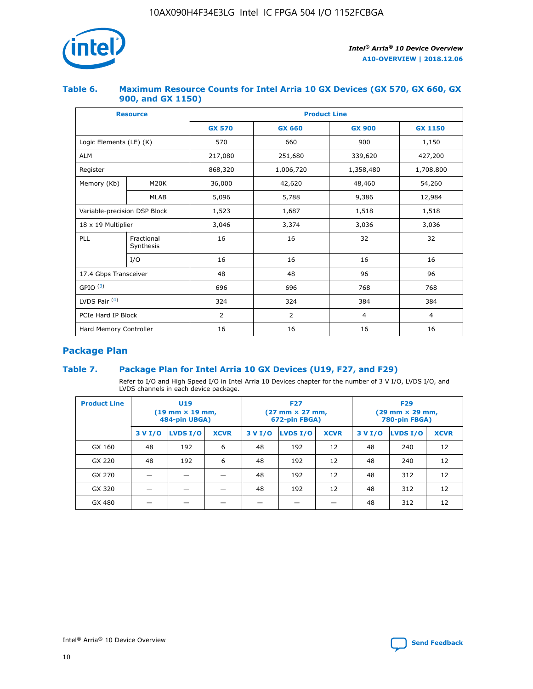

## **Table 6. Maximum Resource Counts for Intel Arria 10 GX Devices (GX 570, GX 660, GX 900, and GX 1150)**

|                              | <b>Resource</b>         | <b>Product Line</b> |                |                |                |  |  |  |
|------------------------------|-------------------------|---------------------|----------------|----------------|----------------|--|--|--|
|                              |                         | <b>GX 570</b>       | <b>GX 660</b>  | <b>GX 900</b>  | <b>GX 1150</b> |  |  |  |
| Logic Elements (LE) (K)      |                         | 570                 | 660            | 900            | 1,150          |  |  |  |
| <b>ALM</b>                   |                         | 217,080             | 251,680        | 339,620        | 427,200        |  |  |  |
| Register                     |                         | 868,320             | 1,006,720      | 1,358,480      | 1,708,800      |  |  |  |
| Memory (Kb)                  | <b>M20K</b>             | 36,000              | 42,620         | 48,460         | 54,260         |  |  |  |
|                              | <b>MLAB</b>             | 5,096               | 5,788          | 9,386          | 12,984         |  |  |  |
| Variable-precision DSP Block |                         | 1,523               | 1,687          | 1,518          | 1,518          |  |  |  |
|                              | 18 x 19 Multiplier      |                     | 3,374          | 3,036          | 3,036          |  |  |  |
| PLL                          | Fractional<br>Synthesis | 16                  | 16             | 32             | 32             |  |  |  |
|                              | I/O                     | 16                  | 16             | 16             | 16             |  |  |  |
| 17.4 Gbps Transceiver        |                         | 48                  | 48             | 96             | 96             |  |  |  |
| GPIO <sup>(3)</sup>          |                         | 696                 | 696            | 768            | 768            |  |  |  |
| LVDS Pair $(4)$              |                         | 324                 | 324            | 384            | 384            |  |  |  |
| PCIe Hard IP Block           |                         | 2                   | $\overline{2}$ | $\overline{4}$ | $\overline{4}$ |  |  |  |
| Hard Memory Controller       |                         | 16                  | 16             | 16             | 16             |  |  |  |

# **Package Plan**

## **Table 7. Package Plan for Intel Arria 10 GX Devices (U19, F27, and F29)**

Refer to I/O and High Speed I/O in Intel Arria 10 Devices chapter for the number of 3 V I/O, LVDS I/O, and LVDS channels in each device package.

| <b>Product Line</b> | U <sub>19</sub><br>$(19 \text{ mm} \times 19 \text{ mm})$<br>484-pin UBGA) |          |             |         | <b>F27</b><br>(27 mm × 27 mm,<br>672-pin FBGA) |             | <b>F29</b><br>(29 mm × 29 mm,<br>780-pin FBGA) |          |             |  |
|---------------------|----------------------------------------------------------------------------|----------|-------------|---------|------------------------------------------------|-------------|------------------------------------------------|----------|-------------|--|
|                     | 3 V I/O                                                                    | LVDS I/O | <b>XCVR</b> | 3 V I/O | LVDS I/O                                       | <b>XCVR</b> | 3 V I/O                                        | LVDS I/O | <b>XCVR</b> |  |
| GX 160              | 48                                                                         | 192      | 6           | 48      | 192                                            | 12          | 48                                             | 240      | 12          |  |
| GX 220              | 48                                                                         | 192      | 6           | 48      | 192                                            | 12          | 48                                             | 240      | 12          |  |
| GX 270              |                                                                            |          |             | 48      | 192                                            | 12          | 48                                             | 312      | 12          |  |
| GX 320              |                                                                            |          |             | 48      | 192                                            | 12          | 48                                             | 312      | 12          |  |
| GX 480              |                                                                            |          |             |         |                                                |             | 48                                             | 312      | 12          |  |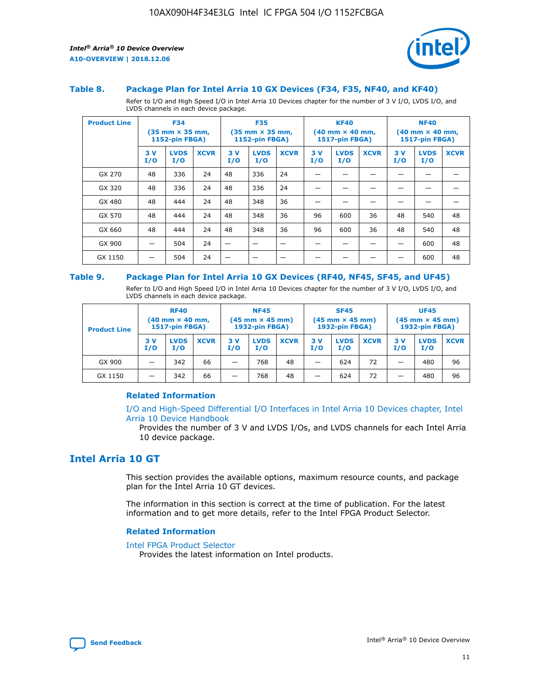

#### **Table 8. Package Plan for Intel Arria 10 GX Devices (F34, F35, NF40, and KF40)**

Refer to I/O and High Speed I/O in Intel Arria 10 Devices chapter for the number of 3 V I/O, LVDS I/O, and LVDS channels in each device package.

| <b>Product Line</b> | <b>F34</b><br>$(35 \text{ mm} \times 35 \text{ mm})$<br>1152-pin FBGA) |                    | <b>F35</b><br>$(35 \text{ mm} \times 35 \text{ mm})$<br><b>1152-pin FBGA)</b> |           | <b>KF40</b><br>$(40 \text{ mm} \times 40 \text{ mm})$<br>1517-pin FBGA) |             |            | <b>NF40</b><br>$(40 \text{ mm} \times 40 \text{ mm})$<br><b>1517-pin FBGA)</b> |             |            |                    |             |
|---------------------|------------------------------------------------------------------------|--------------------|-------------------------------------------------------------------------------|-----------|-------------------------------------------------------------------------|-------------|------------|--------------------------------------------------------------------------------|-------------|------------|--------------------|-------------|
|                     | 3V<br>I/O                                                              | <b>LVDS</b><br>I/O | <b>XCVR</b>                                                                   | 3V<br>I/O | <b>LVDS</b><br>I/O                                                      | <b>XCVR</b> | 3 V<br>I/O | <b>LVDS</b><br>I/O                                                             | <b>XCVR</b> | 3 V<br>I/O | <b>LVDS</b><br>I/O | <b>XCVR</b> |
| GX 270              | 48                                                                     | 336                | 24                                                                            | 48        | 336                                                                     | 24          |            |                                                                                |             |            |                    |             |
| GX 320              | 48                                                                     | 336                | 24                                                                            | 48        | 336                                                                     | 24          |            |                                                                                |             |            |                    |             |
| GX 480              | 48                                                                     | 444                | 24                                                                            | 48        | 348                                                                     | 36          |            |                                                                                |             |            |                    |             |
| GX 570              | 48                                                                     | 444                | 24                                                                            | 48        | 348                                                                     | 36          | 96         | 600                                                                            | 36          | 48         | 540                | 48          |
| GX 660              | 48                                                                     | 444                | 24                                                                            | 48        | 348                                                                     | 36          | 96         | 600                                                                            | 36          | 48         | 540                | 48          |
| GX 900              |                                                                        | 504                | 24                                                                            | -         |                                                                         |             |            |                                                                                |             |            | 600                | 48          |
| GX 1150             |                                                                        | 504                | 24                                                                            |           |                                                                         |             |            |                                                                                |             |            | 600                | 48          |

#### **Table 9. Package Plan for Intel Arria 10 GX Devices (RF40, NF45, SF45, and UF45)**

Refer to I/O and High Speed I/O in Intel Arria 10 Devices chapter for the number of 3 V I/O, LVDS I/O, and LVDS channels in each device package.

| <b>Product Line</b> | <b>RF40</b><br>$(40$ mm $\times$ 40 mm,<br>1517-pin FBGA) |                    | <b>NF45</b><br>$(45 \text{ mm} \times 45 \text{ mm})$<br><b>1932-pin FBGA)</b> |            |                    | <b>SF45</b><br>$(45 \text{ mm} \times 45 \text{ mm})$<br><b>1932-pin FBGA)</b> |            |                    | <b>UF45</b><br>$(45 \text{ mm} \times 45 \text{ mm})$<br><b>1932-pin FBGA)</b> |           |                    |             |
|---------------------|-----------------------------------------------------------|--------------------|--------------------------------------------------------------------------------|------------|--------------------|--------------------------------------------------------------------------------|------------|--------------------|--------------------------------------------------------------------------------|-----------|--------------------|-------------|
|                     | 3V<br>I/O                                                 | <b>LVDS</b><br>I/O | <b>XCVR</b>                                                                    | 3 V<br>I/O | <b>LVDS</b><br>I/O | <b>XCVR</b>                                                                    | 3 V<br>I/O | <b>LVDS</b><br>I/O | <b>XCVR</b>                                                                    | 3V<br>I/O | <b>LVDS</b><br>I/O | <b>XCVR</b> |
| GX 900              |                                                           | 342                | 66                                                                             | _          | 768                | 48                                                                             |            | 624                | 72                                                                             |           | 480                | 96          |
| GX 1150             |                                                           | 342                | 66                                                                             | _          | 768                | 48                                                                             |            | 624                | 72                                                                             |           | 480                | 96          |

#### **Related Information**

[I/O and High-Speed Differential I/O Interfaces in Intel Arria 10 Devices chapter, Intel](https://www.intel.com/content/www/us/en/programmable/documentation/sam1403482614086.html#sam1403482030321) [Arria 10 Device Handbook](https://www.intel.com/content/www/us/en/programmable/documentation/sam1403482614086.html#sam1403482030321)

Provides the number of 3 V and LVDS I/Os, and LVDS channels for each Intel Arria 10 device package.

# **Intel Arria 10 GT**

This section provides the available options, maximum resource counts, and package plan for the Intel Arria 10 GT devices.

The information in this section is correct at the time of publication. For the latest information and to get more details, refer to the Intel FPGA Product Selector.

#### **Related Information**

#### [Intel FPGA Product Selector](http://www.altera.com/products/selector/psg-selector.html)

Provides the latest information on Intel products.

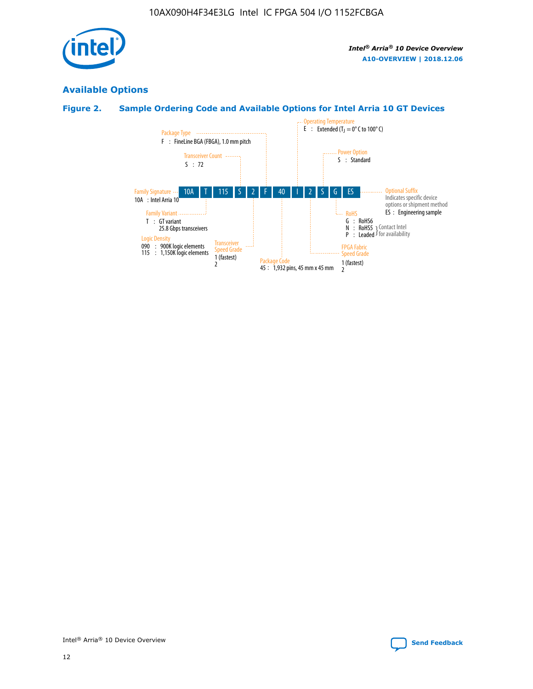

# **Available Options**

# **Figure 2. Sample Ordering Code and Available Options for Intel Arria 10 GT Devices**

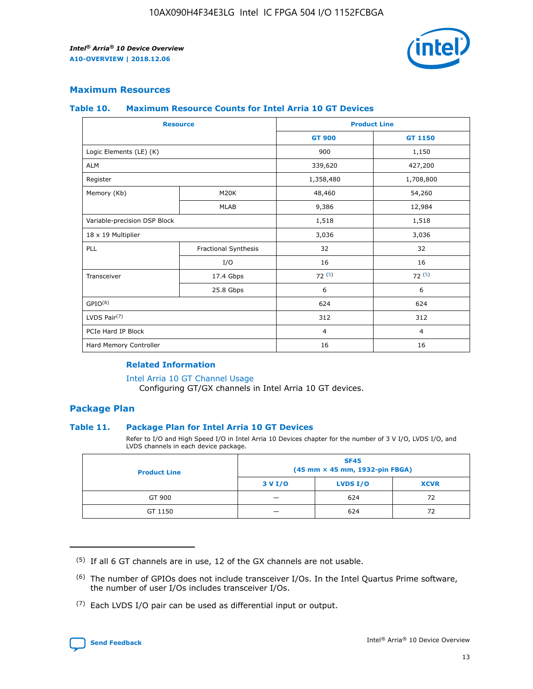

## **Maximum Resources**

#### **Table 10. Maximum Resource Counts for Intel Arria 10 GT Devices**

| <b>Resource</b>              |                      |                | <b>Product Line</b> |  |
|------------------------------|----------------------|----------------|---------------------|--|
|                              |                      | <b>GT 900</b>  | <b>GT 1150</b>      |  |
| Logic Elements (LE) (K)      |                      | 900            | 1,150               |  |
| <b>ALM</b>                   |                      | 339,620        | 427,200             |  |
| Register                     |                      | 1,358,480      | 1,708,800           |  |
| Memory (Kb)                  | M20K                 | 48,460         | 54,260              |  |
|                              | <b>MLAB</b>          | 9,386          | 12,984              |  |
| Variable-precision DSP Block |                      | 1,518          | 1,518               |  |
| 18 x 19 Multiplier           |                      | 3,036          | 3,036               |  |
| PLL                          | Fractional Synthesis | 32             | 32                  |  |
|                              | I/O                  | 16             | 16                  |  |
| Transceiver                  | 17.4 Gbps            | 72(5)          | 72(5)               |  |
|                              | 25.8 Gbps            | 6              | 6                   |  |
| GPIO <sup>(6)</sup>          |                      | 624            | 624                 |  |
| LVDS Pair $(7)$              |                      | 312            | 312                 |  |
| PCIe Hard IP Block           |                      | $\overline{4}$ | $\overline{4}$      |  |
| Hard Memory Controller       |                      | 16             | 16                  |  |

#### **Related Information**

#### [Intel Arria 10 GT Channel Usage](https://www.intel.com/content/www/us/en/programmable/documentation/nik1398707230472.html#nik1398707008178)

Configuring GT/GX channels in Intel Arria 10 GT devices.

## **Package Plan**

#### **Table 11. Package Plan for Intel Arria 10 GT Devices**

Refer to I/O and High Speed I/O in Intel Arria 10 Devices chapter for the number of 3 V I/O, LVDS I/O, and LVDS channels in each device package.

| <b>Product Line</b> | <b>SF45</b><br>(45 mm × 45 mm, 1932-pin FBGA) |                 |             |  |  |  |  |
|---------------------|-----------------------------------------------|-----------------|-------------|--|--|--|--|
|                     | 3 V I/O                                       | <b>LVDS I/O</b> | <b>XCVR</b> |  |  |  |  |
| GT 900              |                                               | 624             | 72          |  |  |  |  |
| GT 1150             |                                               | 624             | 72          |  |  |  |  |

<sup>(7)</sup> Each LVDS I/O pair can be used as differential input or output.



 $(5)$  If all 6 GT channels are in use, 12 of the GX channels are not usable.

<sup>(6)</sup> The number of GPIOs does not include transceiver I/Os. In the Intel Quartus Prime software, the number of user I/Os includes transceiver I/Os.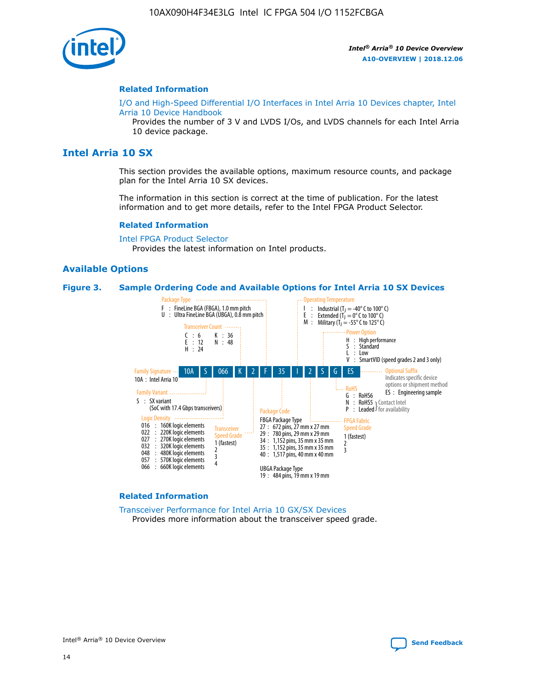

#### **Related Information**

[I/O and High-Speed Differential I/O Interfaces in Intel Arria 10 Devices chapter, Intel](https://www.intel.com/content/www/us/en/programmable/documentation/sam1403482614086.html#sam1403482030321) [Arria 10 Device Handbook](https://www.intel.com/content/www/us/en/programmable/documentation/sam1403482614086.html#sam1403482030321)

Provides the number of 3 V and LVDS I/Os, and LVDS channels for each Intel Arria 10 device package.

# **Intel Arria 10 SX**

This section provides the available options, maximum resource counts, and package plan for the Intel Arria 10 SX devices.

The information in this section is correct at the time of publication. For the latest information and to get more details, refer to the Intel FPGA Product Selector.

#### **Related Information**

[Intel FPGA Product Selector](http://www.altera.com/products/selector/psg-selector.html) Provides the latest information on Intel products.

#### **Available Options**

#### **Figure 3. Sample Ordering Code and Available Options for Intel Arria 10 SX Devices**



#### **Related Information**

[Transceiver Performance for Intel Arria 10 GX/SX Devices](https://www.intel.com/content/www/us/en/programmable/documentation/mcn1413182292568.html#mcn1413213965502) Provides more information about the transceiver speed grade.

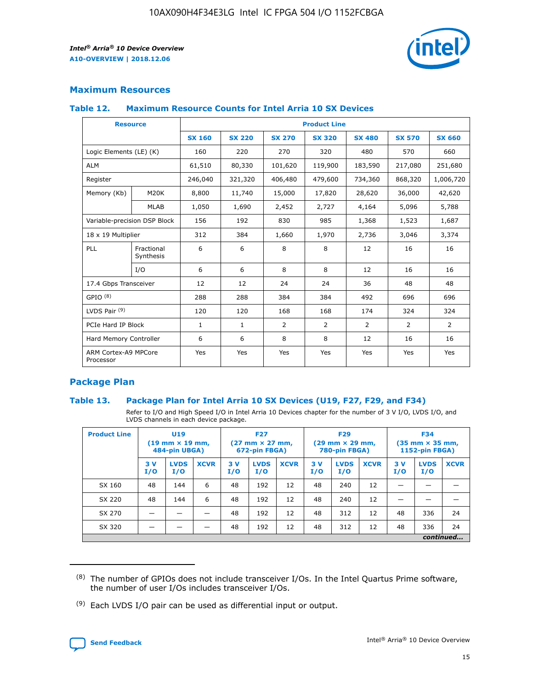

## **Maximum Resources**

#### **Table 12. Maximum Resource Counts for Intel Arria 10 SX Devices**

| <b>Resource</b>                   |                         | <b>Product Line</b> |               |               |                |               |               |               |  |  |
|-----------------------------------|-------------------------|---------------------|---------------|---------------|----------------|---------------|---------------|---------------|--|--|
|                                   |                         | <b>SX 160</b>       | <b>SX 220</b> | <b>SX 270</b> | <b>SX 320</b>  | <b>SX 480</b> | <b>SX 570</b> | <b>SX 660</b> |  |  |
| Logic Elements (LE) (K)           |                         | 160                 | 220           | 270           | 320            | 480           | 570           | 660           |  |  |
| <b>ALM</b>                        |                         | 61,510              | 80,330        | 101,620       | 119,900        | 183,590       | 217,080       | 251,680       |  |  |
| Register                          |                         | 246,040             | 321,320       | 406,480       | 479,600        | 734,360       | 868,320       | 1,006,720     |  |  |
| Memory (Kb)                       | M20K                    | 8,800               | 11,740        | 15,000        | 17,820         | 28,620        | 36,000        | 42,620        |  |  |
|                                   | <b>MLAB</b>             | 1,050               | 1,690         | 2,452         | 2,727          | 4,164         | 5,096         | 5,788         |  |  |
| Variable-precision DSP Block      |                         | 156                 | 192           | 830           | 985            | 1,368         | 1,523         | 1,687         |  |  |
| 18 x 19 Multiplier                |                         | 312                 | 384           | 1,660         | 1,970          | 2,736         | 3,046         | 3,374         |  |  |
| PLL                               | Fractional<br>Synthesis | 6                   | 6             | 8             | 8              | 12            | 16            | 16            |  |  |
|                                   | I/O                     | 6                   | 6             | 8             | 8              | 12            | 16            | 16            |  |  |
| 17.4 Gbps Transceiver             |                         | 12                  | 12            | 24            | 24             | 36            | 48            | 48            |  |  |
| GPIO <sup>(8)</sup>               |                         | 288                 | 288           | 384           | 384            | 492           | 696           | 696           |  |  |
| LVDS Pair $(9)$                   |                         | 120                 | 120           | 168           | 168            | 174           | 324           | 324           |  |  |
| PCIe Hard IP Block                |                         | $\mathbf{1}$        | $\mathbf{1}$  | 2             | $\overline{2}$ | 2             | 2             | 2             |  |  |
| Hard Memory Controller            |                         | 6                   | 6             | 8             | 8              | 12            | 16            | 16            |  |  |
| ARM Cortex-A9 MPCore<br>Processor |                         | Yes                 | Yes           | Yes           | Yes            | Yes           | Yes           | Yes           |  |  |

## **Package Plan**

#### **Table 13. Package Plan for Intel Arria 10 SX Devices (U19, F27, F29, and F34)**

Refer to I/O and High Speed I/O in Intel Arria 10 Devices chapter for the number of 3 V I/O, LVDS I/O, and LVDS channels in each device package.

| <b>Product Line</b> | U19<br>$(19 \text{ mm} \times 19 \text{ mm})$<br>484-pin UBGA) |                    |             | <b>F27</b><br>$(27 \text{ mm} \times 27 \text{ mm})$<br>672-pin FBGA) |                    | <b>F29</b><br>$(29 \text{ mm} \times 29 \text{ mm})$<br>780-pin FBGA) |           |                    | <b>F34</b><br>$(35 \text{ mm} \times 35 \text{ mm})$<br><b>1152-pin FBGA)</b> |           |                    |             |
|---------------------|----------------------------------------------------------------|--------------------|-------------|-----------------------------------------------------------------------|--------------------|-----------------------------------------------------------------------|-----------|--------------------|-------------------------------------------------------------------------------|-----------|--------------------|-------------|
|                     | 3V<br>I/O                                                      | <b>LVDS</b><br>I/O | <b>XCVR</b> | 3V<br>I/O                                                             | <b>LVDS</b><br>I/O | <b>XCVR</b>                                                           | 3V<br>I/O | <b>LVDS</b><br>I/O | <b>XCVR</b>                                                                   | 3V<br>I/O | <b>LVDS</b><br>I/O | <b>XCVR</b> |
| SX 160              | 48                                                             | 144                | 6           | 48                                                                    | 192                | 12                                                                    | 48        | 240                | 12                                                                            |           |                    |             |
| SX 220              | 48                                                             | 144                | 6           | 48                                                                    | 192                | 12                                                                    | 48        | 240                | 12                                                                            |           |                    |             |
| SX 270              |                                                                |                    |             | 48                                                                    | 192                | 12                                                                    | 48        | 312                | 12                                                                            | 48        | 336                | 24          |
| SX 320              |                                                                |                    |             | 48                                                                    | 192                | 12                                                                    | 48        | 312                | 12                                                                            | 48        | 336                | 24          |
|                     |                                                                |                    |             |                                                                       |                    |                                                                       |           |                    |                                                                               |           |                    | continued   |

 $(8)$  The number of GPIOs does not include transceiver I/Os. In the Intel Quartus Prime software, the number of user I/Os includes transceiver I/Os.

 $(9)$  Each LVDS I/O pair can be used as differential input or output.

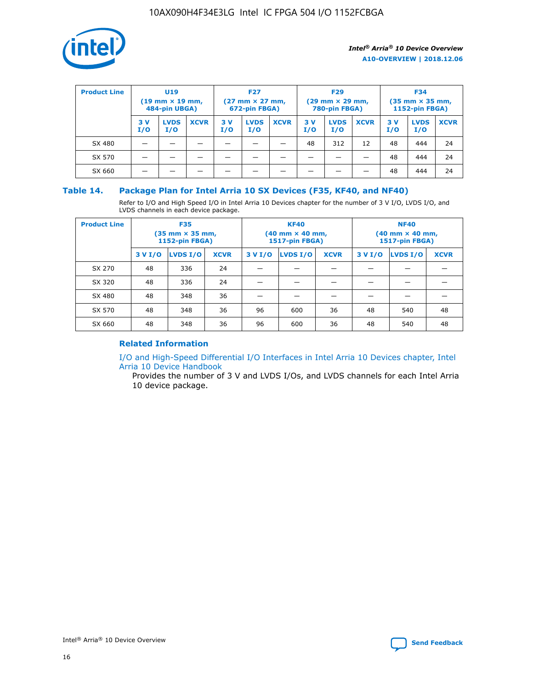

| <b>Product Line</b> | <b>U19</b><br>$(19 \text{ mm} \times 19 \text{ mm})$<br>484-pin UBGA) |                    | <b>F27</b><br>$(27 \text{ mm} \times 27 \text{ mm})$<br>672-pin FBGA) |           | <b>F29</b><br>$(29$ mm $\times$ 29 mm,<br>780-pin FBGA) |             |           | <b>F34</b><br>$(35$ mm $\times$ 35 mm,<br><b>1152-pin FBGA)</b> |             |           |                    |             |
|---------------------|-----------------------------------------------------------------------|--------------------|-----------------------------------------------------------------------|-----------|---------------------------------------------------------|-------------|-----------|-----------------------------------------------------------------|-------------|-----------|--------------------|-------------|
|                     | 3 V<br>I/O                                                            | <b>LVDS</b><br>I/O | <b>XCVR</b>                                                           | 3V<br>I/O | <b>LVDS</b><br>I/O                                      | <b>XCVR</b> | 3V<br>I/O | <b>LVDS</b><br>I/O                                              | <b>XCVR</b> | 3V<br>I/O | <b>LVDS</b><br>I/O | <b>XCVR</b> |
| SX 480              |                                                                       |                    |                                                                       |           |                                                         |             | 48        | 312                                                             | 12          | 48        | 444                | 24          |
| SX 570              |                                                                       |                    |                                                                       |           |                                                         |             |           |                                                                 |             | 48        | 444                | 24          |
| SX 660              |                                                                       |                    |                                                                       |           |                                                         |             |           |                                                                 |             | 48        | 444                | 24          |

## **Table 14. Package Plan for Intel Arria 10 SX Devices (F35, KF40, and NF40)**

Refer to I/O and High Speed I/O in Intel Arria 10 Devices chapter for the number of 3 V I/O, LVDS I/O, and LVDS channels in each device package.

| <b>Product Line</b> | <b>F35</b><br>$(35 \text{ mm} \times 35 \text{ mm})$<br><b>1152-pin FBGA)</b> |          |             |                                           | <b>KF40</b><br>(40 mm × 40 mm,<br>1517-pin FBGA) |    | <b>NF40</b><br>$(40 \text{ mm} \times 40 \text{ mm})$<br>1517-pin FBGA) |          |             |  |
|---------------------|-------------------------------------------------------------------------------|----------|-------------|-------------------------------------------|--------------------------------------------------|----|-------------------------------------------------------------------------|----------|-------------|--|
|                     | 3 V I/O                                                                       | LVDS I/O | <b>XCVR</b> | <b>LVDS I/O</b><br><b>XCVR</b><br>3 V I/O |                                                  |    | 3 V I/O                                                                 | LVDS I/O | <b>XCVR</b> |  |
| SX 270              | 48                                                                            | 336      | 24          |                                           |                                                  |    |                                                                         |          |             |  |
| SX 320              | 48                                                                            | 336      | 24          |                                           |                                                  |    |                                                                         |          |             |  |
| SX 480              | 48                                                                            | 348      | 36          |                                           |                                                  |    |                                                                         |          |             |  |
| SX 570              | 48                                                                            | 348      | 36          | 96                                        | 600                                              | 36 | 48                                                                      | 540      | 48          |  |
| SX 660              | 48                                                                            | 348      | 36          | 96                                        | 600                                              | 36 | 48                                                                      | 540      | 48          |  |

# **Related Information**

[I/O and High-Speed Differential I/O Interfaces in Intel Arria 10 Devices chapter, Intel](https://www.intel.com/content/www/us/en/programmable/documentation/sam1403482614086.html#sam1403482030321) [Arria 10 Device Handbook](https://www.intel.com/content/www/us/en/programmable/documentation/sam1403482614086.html#sam1403482030321)

Provides the number of 3 V and LVDS I/Os, and LVDS channels for each Intel Arria 10 device package.

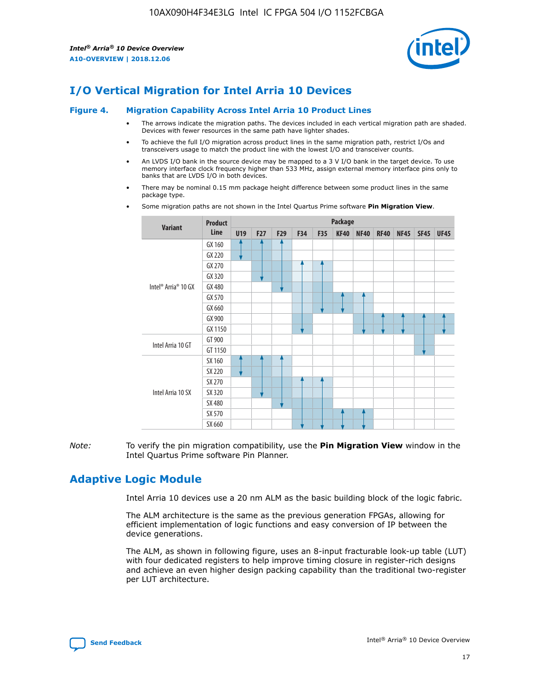

# **I/O Vertical Migration for Intel Arria 10 Devices**

#### **Figure 4. Migration Capability Across Intel Arria 10 Product Lines**

- The arrows indicate the migration paths. The devices included in each vertical migration path are shaded. Devices with fewer resources in the same path have lighter shades.
- To achieve the full I/O migration across product lines in the same migration path, restrict I/Os and transceivers usage to match the product line with the lowest I/O and transceiver counts.
- An LVDS I/O bank in the source device may be mapped to a 3 V I/O bank in the target device. To use memory interface clock frequency higher than 533 MHz, assign external memory interface pins only to banks that are LVDS I/O in both devices.
- There may be nominal 0.15 mm package height difference between some product lines in the same package type.
	- **Variant Product Line Package U19 F27 F29 F34 F35 KF40 NF40 RF40 NF45 SF45 UF45** Intel® Arria® 10 GX GX 160 GX 220 GX 270 GX 320 GX 480 GX 570 GX 660 GX 900 GX 1150 Intel Arria 10 GT GT 900 GT 1150 Intel Arria 10 SX SX 160 SX 220 SX 270 SX 320 SX 480 SX 570 SX 660
- Some migration paths are not shown in the Intel Quartus Prime software **Pin Migration View**.

*Note:* To verify the pin migration compatibility, use the **Pin Migration View** window in the Intel Quartus Prime software Pin Planner.

# **Adaptive Logic Module**

Intel Arria 10 devices use a 20 nm ALM as the basic building block of the logic fabric.

The ALM architecture is the same as the previous generation FPGAs, allowing for efficient implementation of logic functions and easy conversion of IP between the device generations.

The ALM, as shown in following figure, uses an 8-input fracturable look-up table (LUT) with four dedicated registers to help improve timing closure in register-rich designs and achieve an even higher design packing capability than the traditional two-register per LUT architecture.

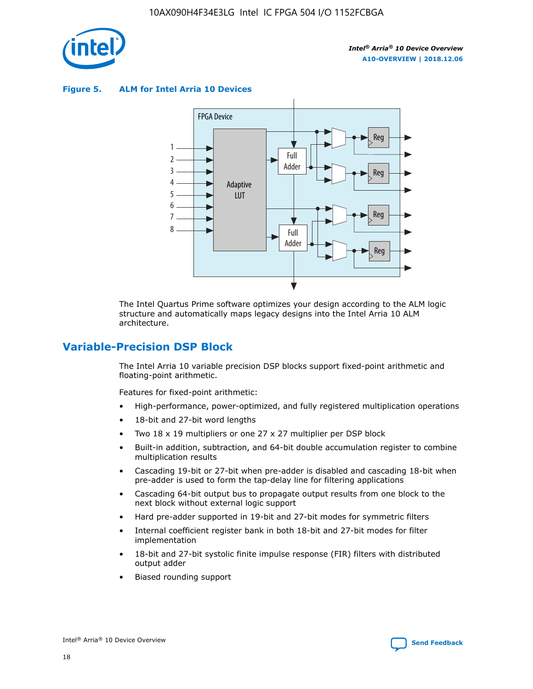

**Figure 5. ALM for Intel Arria 10 Devices**



The Intel Quartus Prime software optimizes your design according to the ALM logic structure and automatically maps legacy designs into the Intel Arria 10 ALM architecture.

# **Variable-Precision DSP Block**

The Intel Arria 10 variable precision DSP blocks support fixed-point arithmetic and floating-point arithmetic.

Features for fixed-point arithmetic:

- High-performance, power-optimized, and fully registered multiplication operations
- 18-bit and 27-bit word lengths
- Two 18 x 19 multipliers or one 27 x 27 multiplier per DSP block
- Built-in addition, subtraction, and 64-bit double accumulation register to combine multiplication results
- Cascading 19-bit or 27-bit when pre-adder is disabled and cascading 18-bit when pre-adder is used to form the tap-delay line for filtering applications
- Cascading 64-bit output bus to propagate output results from one block to the next block without external logic support
- Hard pre-adder supported in 19-bit and 27-bit modes for symmetric filters
- Internal coefficient register bank in both 18-bit and 27-bit modes for filter implementation
- 18-bit and 27-bit systolic finite impulse response (FIR) filters with distributed output adder
- Biased rounding support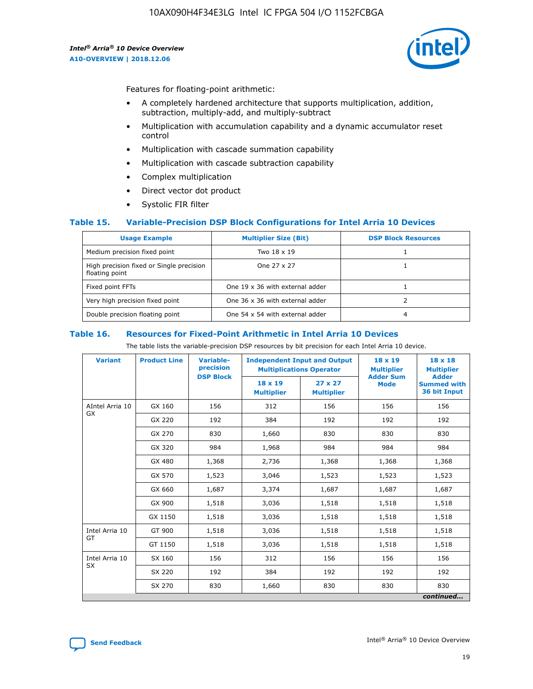

Features for floating-point arithmetic:

- A completely hardened architecture that supports multiplication, addition, subtraction, multiply-add, and multiply-subtract
- Multiplication with accumulation capability and a dynamic accumulator reset control
- Multiplication with cascade summation capability
- Multiplication with cascade subtraction capability
- Complex multiplication
- Direct vector dot product
- Systolic FIR filter

#### **Table 15. Variable-Precision DSP Block Configurations for Intel Arria 10 Devices**

| <b>Usage Example</b>                                       | <b>Multiplier Size (Bit)</b>    | <b>DSP Block Resources</b> |
|------------------------------------------------------------|---------------------------------|----------------------------|
| Medium precision fixed point                               | Two 18 x 19                     |                            |
| High precision fixed or Single precision<br>floating point | One 27 x 27                     |                            |
| Fixed point FFTs                                           | One 19 x 36 with external adder |                            |
| Very high precision fixed point                            | One 36 x 36 with external adder |                            |
| Double precision floating point                            | One 54 x 54 with external adder | 4                          |

#### **Table 16. Resources for Fixed-Point Arithmetic in Intel Arria 10 Devices**

The table lists the variable-precision DSP resources by bit precision for each Intel Arria 10 device.

| <b>Variant</b>  | <b>Product Line</b> | Variable-<br>precision<br><b>DSP Block</b> | <b>Independent Input and Output</b><br><b>Multiplications Operator</b> |                                     | 18 x 19<br><b>Multiplier</b><br><b>Adder Sum</b> | $18 \times 18$<br><b>Multiplier</b><br><b>Adder</b> |
|-----------------|---------------------|--------------------------------------------|------------------------------------------------------------------------|-------------------------------------|--------------------------------------------------|-----------------------------------------------------|
|                 |                     |                                            | 18 x 19<br><b>Multiplier</b>                                           | $27 \times 27$<br><b>Multiplier</b> | <b>Mode</b>                                      | <b>Summed with</b><br>36 bit Input                  |
| AIntel Arria 10 | GX 160              | 156                                        | 312                                                                    | 156                                 | 156                                              | 156                                                 |
| GX              | GX 220              | 192                                        | 384                                                                    | 192                                 | 192                                              | 192                                                 |
|                 | GX 270              | 830                                        | 1,660                                                                  | 830                                 | 830                                              | 830                                                 |
|                 | GX 320              | 984                                        | 1,968                                                                  | 984                                 | 984                                              | 984                                                 |
|                 | GX 480              | 1,368                                      | 2,736                                                                  | 1,368                               | 1,368                                            | 1,368                                               |
|                 | GX 570              | 1,523                                      | 3,046                                                                  | 1,523                               | 1,523                                            | 1,523                                               |
|                 | GX 660              | 1,687                                      | 3,374                                                                  | 1,687                               | 1,687                                            | 1,687                                               |
|                 | GX 900              | 1,518                                      | 3,036                                                                  | 1,518                               | 1,518                                            | 1,518                                               |
|                 | GX 1150             | 1,518                                      | 3,036                                                                  | 1,518                               | 1,518                                            | 1,518                                               |
| Intel Arria 10  | GT 900              | 1,518                                      | 3,036                                                                  | 1,518                               | 1,518                                            | 1,518                                               |
| GT              | GT 1150             | 1,518                                      | 3,036                                                                  | 1,518                               | 1,518                                            | 1,518                                               |
| Intel Arria 10  | SX 160              | 156                                        | 312                                                                    | 156                                 | 156                                              | 156                                                 |
| <b>SX</b>       | SX 220              | 192                                        | 384                                                                    | 192                                 | 192                                              | 192                                                 |
|                 | SX 270              | 830                                        | 1,660                                                                  | 830                                 | 830                                              | 830                                                 |
|                 |                     |                                            |                                                                        |                                     |                                                  | continued                                           |

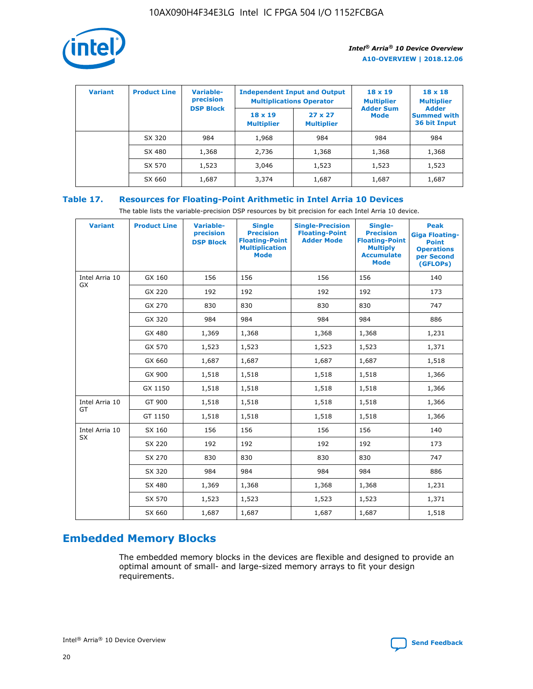

| <b>Variant</b> | <b>Product Line</b> | Variable-<br>precision | <b>Independent Input and Output</b><br><b>Multiplications Operator</b> |                                     | $18 \times 19$<br><b>Multiplier</b> | $18 \times 18$<br><b>Multiplier</b><br><b>Adder</b> |  |
|----------------|---------------------|------------------------|------------------------------------------------------------------------|-------------------------------------|-------------------------------------|-----------------------------------------------------|--|
|                |                     | <b>DSP Block</b>       | $18 \times 19$<br><b>Multiplier</b>                                    | $27 \times 27$<br><b>Multiplier</b> | <b>Adder Sum</b><br><b>Mode</b>     | <b>Summed with</b><br>36 bit Input                  |  |
|                | SX 320              | 984                    | 1,968                                                                  | 984                                 | 984                                 | 984                                                 |  |
|                | SX 480              | 1,368                  | 2,736                                                                  | 1,368                               | 1,368                               | 1,368                                               |  |
|                | SX 570              | 1,523                  | 3,046                                                                  | 1,523                               | 1,523                               | 1,523                                               |  |
|                | SX 660              | 1,687                  | 3,374                                                                  | 1,687                               | 1,687                               | 1,687                                               |  |

# **Table 17. Resources for Floating-Point Arithmetic in Intel Arria 10 Devices**

The table lists the variable-precision DSP resources by bit precision for each Intel Arria 10 device.

| <b>Variant</b> | <b>Product Line</b> | <b>Variable-</b><br>precision<br><b>DSP Block</b> | <b>Single</b><br><b>Precision</b><br><b>Floating-Point</b><br><b>Multiplication</b><br><b>Mode</b> | <b>Single-Precision</b><br><b>Floating-Point</b><br><b>Adder Mode</b> | Single-<br><b>Precision</b><br><b>Floating-Point</b><br><b>Multiply</b><br><b>Accumulate</b><br><b>Mode</b> | <b>Peak</b><br><b>Giga Floating-</b><br><b>Point</b><br><b>Operations</b><br>per Second<br>(GFLOPs) |
|----------------|---------------------|---------------------------------------------------|----------------------------------------------------------------------------------------------------|-----------------------------------------------------------------------|-------------------------------------------------------------------------------------------------------------|-----------------------------------------------------------------------------------------------------|
| Intel Arria 10 | GX 160              | 156                                               | 156                                                                                                | 156                                                                   | 156                                                                                                         | 140                                                                                                 |
| GX             | GX 220              | 192                                               | 192                                                                                                | 192                                                                   | 192                                                                                                         | 173                                                                                                 |
|                | GX 270              | 830                                               | 830                                                                                                | 830                                                                   | 830                                                                                                         | 747                                                                                                 |
|                | GX 320              | 984                                               | 984                                                                                                | 984                                                                   | 984                                                                                                         | 886                                                                                                 |
|                | GX 480              | 1,369                                             | 1,368                                                                                              | 1,368                                                                 | 1,368                                                                                                       | 1,231                                                                                               |
|                | GX 570              | 1,523                                             | 1,523                                                                                              | 1,523                                                                 | 1,523                                                                                                       | 1,371                                                                                               |
|                | GX 660              | 1,687                                             | 1,687                                                                                              | 1,687                                                                 | 1,687                                                                                                       | 1,518                                                                                               |
|                | GX 900              | 1,518                                             | 1,518                                                                                              | 1,518                                                                 | 1,518                                                                                                       | 1,366                                                                                               |
|                | GX 1150             | 1,518                                             | 1,518                                                                                              | 1,518                                                                 | 1,518                                                                                                       | 1,366                                                                                               |
| Intel Arria 10 | GT 900              | 1,518                                             | 1,518                                                                                              | 1,518                                                                 | 1,518                                                                                                       | 1,366                                                                                               |
| GT             | GT 1150             | 1,518                                             | 1,518                                                                                              | 1,518                                                                 | 1,518                                                                                                       | 1,366                                                                                               |
| Intel Arria 10 | SX 160              | 156                                               | 156                                                                                                | 156                                                                   | 156                                                                                                         | 140                                                                                                 |
| <b>SX</b>      | SX 220              | 192                                               | 192                                                                                                | 192                                                                   | 192                                                                                                         | 173                                                                                                 |
|                | SX 270              | 830                                               | 830                                                                                                | 830                                                                   | 830                                                                                                         | 747                                                                                                 |
|                | SX 320              | 984                                               | 984                                                                                                | 984                                                                   | 984                                                                                                         | 886                                                                                                 |
|                | SX 480              | 1,369                                             | 1,368                                                                                              | 1,368                                                                 | 1,368                                                                                                       | 1,231                                                                                               |
|                | SX 570              | 1,523                                             | 1,523                                                                                              | 1,523                                                                 | 1,523                                                                                                       | 1,371                                                                                               |
|                | SX 660              | 1,687                                             | 1,687                                                                                              | 1,687                                                                 | 1,687                                                                                                       | 1,518                                                                                               |

# **Embedded Memory Blocks**

The embedded memory blocks in the devices are flexible and designed to provide an optimal amount of small- and large-sized memory arrays to fit your design requirements.

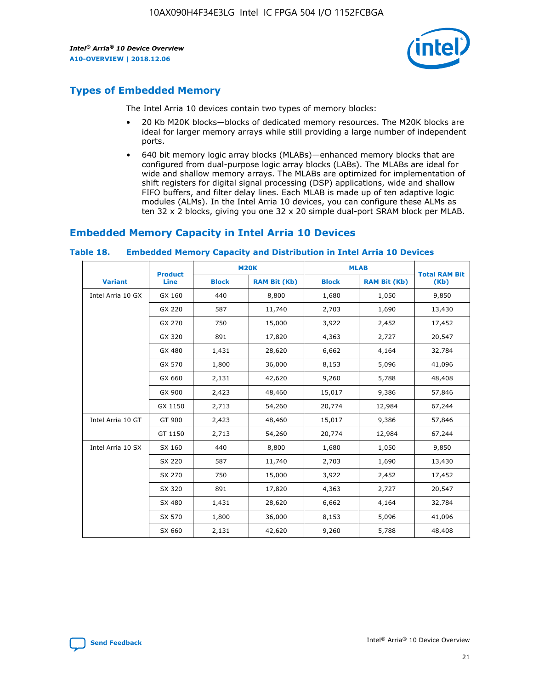

# **Types of Embedded Memory**

The Intel Arria 10 devices contain two types of memory blocks:

- 20 Kb M20K blocks—blocks of dedicated memory resources. The M20K blocks are ideal for larger memory arrays while still providing a large number of independent ports.
- 640 bit memory logic array blocks (MLABs)—enhanced memory blocks that are configured from dual-purpose logic array blocks (LABs). The MLABs are ideal for wide and shallow memory arrays. The MLABs are optimized for implementation of shift registers for digital signal processing (DSP) applications, wide and shallow FIFO buffers, and filter delay lines. Each MLAB is made up of ten adaptive logic modules (ALMs). In the Intel Arria 10 devices, you can configure these ALMs as ten 32 x 2 blocks, giving you one 32 x 20 simple dual-port SRAM block per MLAB.

# **Embedded Memory Capacity in Intel Arria 10 Devices**

|                   | <b>Product</b> |              | <b>M20K</b>         | <b>MLAB</b>  |                     | <b>Total RAM Bit</b> |
|-------------------|----------------|--------------|---------------------|--------------|---------------------|----------------------|
| <b>Variant</b>    | Line           | <b>Block</b> | <b>RAM Bit (Kb)</b> | <b>Block</b> | <b>RAM Bit (Kb)</b> | (Kb)                 |
| Intel Arria 10 GX | GX 160         | 440          | 8,800               | 1,680        | 1,050               | 9,850                |
|                   | GX 220         | 587          | 11,740              | 2,703        | 1,690               | 13,430               |
|                   | GX 270         | 750          | 15,000              | 3,922        | 2,452               | 17,452               |
|                   | GX 320         | 891          | 17,820              | 4,363        | 2,727               | 20,547               |
|                   | GX 480         | 1,431        | 28,620              | 6,662        | 4,164               | 32,784               |
|                   | GX 570         | 1,800        | 36,000              | 8,153        | 5,096               | 41,096               |
|                   | GX 660         | 2,131        | 42,620              | 9,260        | 5,788               | 48,408               |
|                   | GX 900         | 2,423        | 48,460              | 15,017       | 9,386               | 57,846               |
|                   | GX 1150        | 2,713        | 54,260              | 20,774       | 12,984              | 67,244               |
| Intel Arria 10 GT | GT 900         | 2,423        | 48,460              | 15,017       | 9,386               | 57,846               |
|                   | GT 1150        | 2,713        | 54,260              | 20,774       | 12,984              | 67,244               |
| Intel Arria 10 SX | SX 160         | 440          | 8,800               | 1,680        | 1,050               | 9,850                |
|                   | SX 220         | 587          | 11,740              | 2,703        | 1,690               | 13,430               |
|                   | SX 270         | 750          | 15,000              | 3,922        | 2,452               | 17,452               |
|                   | SX 320         | 891          | 17,820              | 4,363        | 2,727               | 20,547               |
|                   | SX 480         | 1,431        | 28,620              | 6,662        | 4,164               | 32,784               |
|                   | SX 570         | 1,800        | 36,000              | 8,153        | 5,096               | 41,096               |
|                   | SX 660         | 2,131        | 42,620              | 9,260        | 5,788               | 48,408               |

#### **Table 18. Embedded Memory Capacity and Distribution in Intel Arria 10 Devices**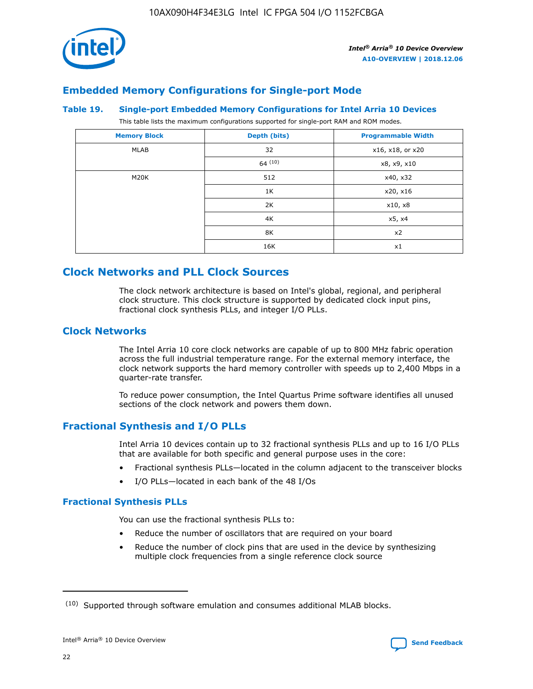

# **Embedded Memory Configurations for Single-port Mode**

#### **Table 19. Single-port Embedded Memory Configurations for Intel Arria 10 Devices**

This table lists the maximum configurations supported for single-port RAM and ROM modes.

| <b>Memory Block</b> | Depth (bits) | <b>Programmable Width</b> |
|---------------------|--------------|---------------------------|
| MLAB                | 32           | x16, x18, or x20          |
|                     | 64(10)       | x8, x9, x10               |
| M20K                | 512          | x40, x32                  |
|                     | 1K           | x20, x16                  |
|                     | 2K           | x10, x8                   |
|                     | 4K           | x5, x4                    |
|                     | 8K           | x2                        |
|                     | 16K          | x1                        |

# **Clock Networks and PLL Clock Sources**

The clock network architecture is based on Intel's global, regional, and peripheral clock structure. This clock structure is supported by dedicated clock input pins, fractional clock synthesis PLLs, and integer I/O PLLs.

# **Clock Networks**

The Intel Arria 10 core clock networks are capable of up to 800 MHz fabric operation across the full industrial temperature range. For the external memory interface, the clock network supports the hard memory controller with speeds up to 2,400 Mbps in a quarter-rate transfer.

To reduce power consumption, the Intel Quartus Prime software identifies all unused sections of the clock network and powers them down.

# **Fractional Synthesis and I/O PLLs**

Intel Arria 10 devices contain up to 32 fractional synthesis PLLs and up to 16 I/O PLLs that are available for both specific and general purpose uses in the core:

- Fractional synthesis PLLs—located in the column adjacent to the transceiver blocks
- I/O PLLs—located in each bank of the 48 I/Os

## **Fractional Synthesis PLLs**

You can use the fractional synthesis PLLs to:

- Reduce the number of oscillators that are required on your board
- Reduce the number of clock pins that are used in the device by synthesizing multiple clock frequencies from a single reference clock source

<sup>(10)</sup> Supported through software emulation and consumes additional MLAB blocks.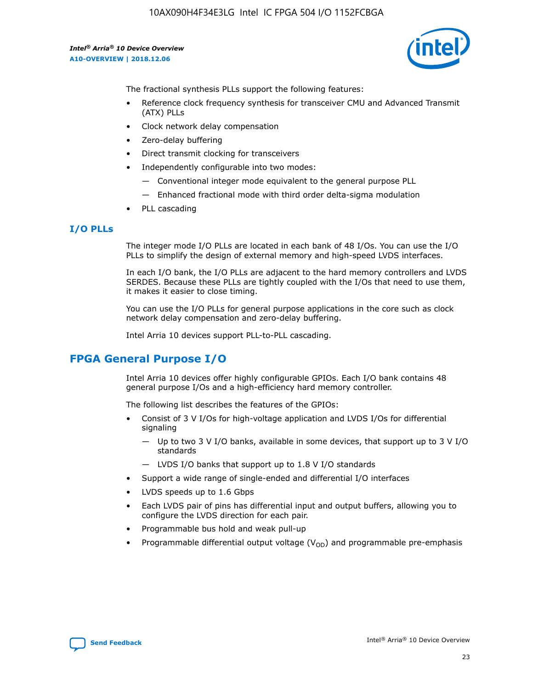10AX090H4F34E3LG Intel IC FPGA 504 I/O 1152FCBGA

*Intel® Arria® 10 Device Overview* **A10-OVERVIEW | 2018.12.06**



The fractional synthesis PLLs support the following features:

- Reference clock frequency synthesis for transceiver CMU and Advanced Transmit (ATX) PLLs
- Clock network delay compensation
- Zero-delay buffering
- Direct transmit clocking for transceivers
- Independently configurable into two modes:
	- Conventional integer mode equivalent to the general purpose PLL
	- Enhanced fractional mode with third order delta-sigma modulation
- PLL cascading

## **I/O PLLs**

The integer mode I/O PLLs are located in each bank of 48 I/Os. You can use the I/O PLLs to simplify the design of external memory and high-speed LVDS interfaces.

In each I/O bank, the I/O PLLs are adjacent to the hard memory controllers and LVDS SERDES. Because these PLLs are tightly coupled with the I/Os that need to use them, it makes it easier to close timing.

You can use the I/O PLLs for general purpose applications in the core such as clock network delay compensation and zero-delay buffering.

Intel Arria 10 devices support PLL-to-PLL cascading.

# **FPGA General Purpose I/O**

Intel Arria 10 devices offer highly configurable GPIOs. Each I/O bank contains 48 general purpose I/Os and a high-efficiency hard memory controller.

The following list describes the features of the GPIOs:

- Consist of 3 V I/Os for high-voltage application and LVDS I/Os for differential signaling
	- Up to two 3 V I/O banks, available in some devices, that support up to 3 V I/O standards
	- LVDS I/O banks that support up to 1.8 V I/O standards
- Support a wide range of single-ended and differential I/O interfaces
- LVDS speeds up to 1.6 Gbps
- Each LVDS pair of pins has differential input and output buffers, allowing you to configure the LVDS direction for each pair.
- Programmable bus hold and weak pull-up
- Programmable differential output voltage  $(V_{OD})$  and programmable pre-emphasis

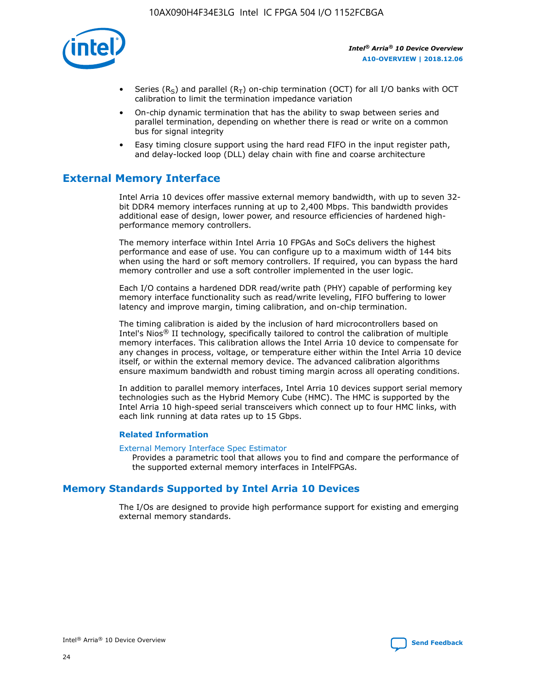

- Series (R<sub>S</sub>) and parallel (R<sub>T</sub>) on-chip termination (OCT) for all I/O banks with OCT calibration to limit the termination impedance variation
- On-chip dynamic termination that has the ability to swap between series and parallel termination, depending on whether there is read or write on a common bus for signal integrity
- Easy timing closure support using the hard read FIFO in the input register path, and delay-locked loop (DLL) delay chain with fine and coarse architecture

# **External Memory Interface**

Intel Arria 10 devices offer massive external memory bandwidth, with up to seven 32 bit DDR4 memory interfaces running at up to 2,400 Mbps. This bandwidth provides additional ease of design, lower power, and resource efficiencies of hardened highperformance memory controllers.

The memory interface within Intel Arria 10 FPGAs and SoCs delivers the highest performance and ease of use. You can configure up to a maximum width of 144 bits when using the hard or soft memory controllers. If required, you can bypass the hard memory controller and use a soft controller implemented in the user logic.

Each I/O contains a hardened DDR read/write path (PHY) capable of performing key memory interface functionality such as read/write leveling, FIFO buffering to lower latency and improve margin, timing calibration, and on-chip termination.

The timing calibration is aided by the inclusion of hard microcontrollers based on Intel's Nios® II technology, specifically tailored to control the calibration of multiple memory interfaces. This calibration allows the Intel Arria 10 device to compensate for any changes in process, voltage, or temperature either within the Intel Arria 10 device itself, or within the external memory device. The advanced calibration algorithms ensure maximum bandwidth and robust timing margin across all operating conditions.

In addition to parallel memory interfaces, Intel Arria 10 devices support serial memory technologies such as the Hybrid Memory Cube (HMC). The HMC is supported by the Intel Arria 10 high-speed serial transceivers which connect up to four HMC links, with each link running at data rates up to 15 Gbps.

#### **Related Information**

#### [External Memory Interface Spec Estimator](http://www.altera.com/technology/memory/estimator/mem-emif-index.html)

Provides a parametric tool that allows you to find and compare the performance of the supported external memory interfaces in IntelFPGAs.

# **Memory Standards Supported by Intel Arria 10 Devices**

The I/Os are designed to provide high performance support for existing and emerging external memory standards.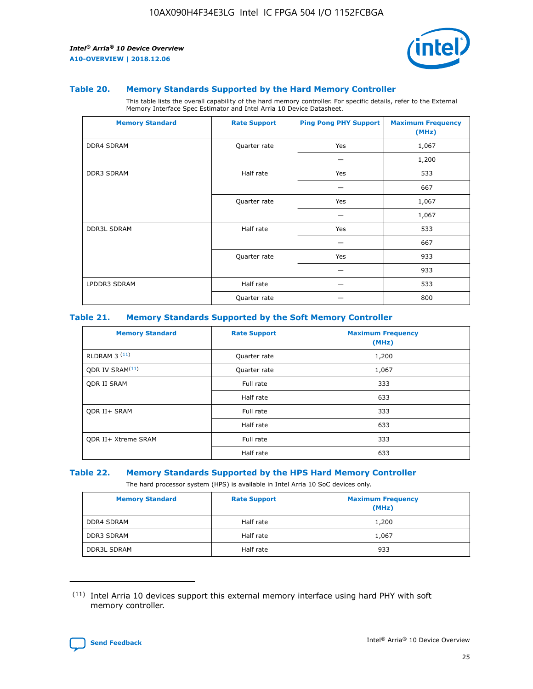

#### **Table 20. Memory Standards Supported by the Hard Memory Controller**

This table lists the overall capability of the hard memory controller. For specific details, refer to the External Memory Interface Spec Estimator and Intel Arria 10 Device Datasheet.

| <b>Memory Standard</b> | <b>Rate Support</b> | <b>Ping Pong PHY Support</b> | <b>Maximum Frequency</b><br>(MHz) |
|------------------------|---------------------|------------------------------|-----------------------------------|
| <b>DDR4 SDRAM</b>      | Quarter rate        | Yes                          | 1,067                             |
|                        |                     |                              | 1,200                             |
| DDR3 SDRAM             | Half rate           | Yes                          | 533                               |
|                        |                     |                              | 667                               |
|                        | Quarter rate        | Yes                          | 1,067                             |
|                        |                     |                              | 1,067                             |
| <b>DDR3L SDRAM</b>     | Half rate           | Yes                          | 533                               |
|                        |                     |                              | 667                               |
|                        | Quarter rate        | Yes                          | 933                               |
|                        |                     |                              | 933                               |
| LPDDR3 SDRAM           | Half rate           |                              | 533                               |
|                        | Quarter rate        |                              | 800                               |

#### **Table 21. Memory Standards Supported by the Soft Memory Controller**

| <b>Memory Standard</b>      | <b>Rate Support</b> | <b>Maximum Frequency</b><br>(MHz) |
|-----------------------------|---------------------|-----------------------------------|
| <b>RLDRAM 3 (11)</b>        | Quarter rate        | 1,200                             |
| ODR IV SRAM <sup>(11)</sup> | Quarter rate        | 1,067                             |
| <b>ODR II SRAM</b>          | Full rate           | 333                               |
|                             | Half rate           | 633                               |
| <b>ODR II+ SRAM</b>         | Full rate           | 333                               |
|                             | Half rate           | 633                               |
| <b>ODR II+ Xtreme SRAM</b>  | Full rate           | 333                               |
|                             | Half rate           | 633                               |

#### **Table 22. Memory Standards Supported by the HPS Hard Memory Controller**

The hard processor system (HPS) is available in Intel Arria 10 SoC devices only.

| <b>Memory Standard</b> | <b>Rate Support</b> | <b>Maximum Frequency</b><br>(MHz) |
|------------------------|---------------------|-----------------------------------|
| <b>DDR4 SDRAM</b>      | Half rate           | 1,200                             |
| <b>DDR3 SDRAM</b>      | Half rate           | 1,067                             |
| <b>DDR3L SDRAM</b>     | Half rate           | 933                               |

<sup>(11)</sup> Intel Arria 10 devices support this external memory interface using hard PHY with soft memory controller.

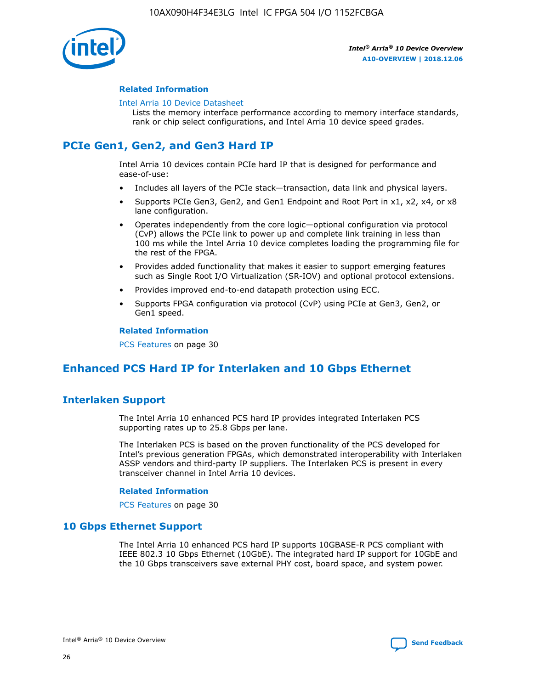

#### **Related Information**

#### [Intel Arria 10 Device Datasheet](https://www.intel.com/content/www/us/en/programmable/documentation/mcn1413182292568.html#mcn1413182153340)

Lists the memory interface performance according to memory interface standards, rank or chip select configurations, and Intel Arria 10 device speed grades.

# **PCIe Gen1, Gen2, and Gen3 Hard IP**

Intel Arria 10 devices contain PCIe hard IP that is designed for performance and ease-of-use:

- Includes all layers of the PCIe stack—transaction, data link and physical layers.
- Supports PCIe Gen3, Gen2, and Gen1 Endpoint and Root Port in x1, x2, x4, or x8 lane configuration.
- Operates independently from the core logic—optional configuration via protocol (CvP) allows the PCIe link to power up and complete link training in less than 100 ms while the Intel Arria 10 device completes loading the programming file for the rest of the FPGA.
- Provides added functionality that makes it easier to support emerging features such as Single Root I/O Virtualization (SR-IOV) and optional protocol extensions.
- Provides improved end-to-end datapath protection using ECC.
- Supports FPGA configuration via protocol (CvP) using PCIe at Gen3, Gen2, or Gen1 speed.

#### **Related Information**

PCS Features on page 30

# **Enhanced PCS Hard IP for Interlaken and 10 Gbps Ethernet**

# **Interlaken Support**

The Intel Arria 10 enhanced PCS hard IP provides integrated Interlaken PCS supporting rates up to 25.8 Gbps per lane.

The Interlaken PCS is based on the proven functionality of the PCS developed for Intel's previous generation FPGAs, which demonstrated interoperability with Interlaken ASSP vendors and third-party IP suppliers. The Interlaken PCS is present in every transceiver channel in Intel Arria 10 devices.

#### **Related Information**

PCS Features on page 30

## **10 Gbps Ethernet Support**

The Intel Arria 10 enhanced PCS hard IP supports 10GBASE-R PCS compliant with IEEE 802.3 10 Gbps Ethernet (10GbE). The integrated hard IP support for 10GbE and the 10 Gbps transceivers save external PHY cost, board space, and system power.

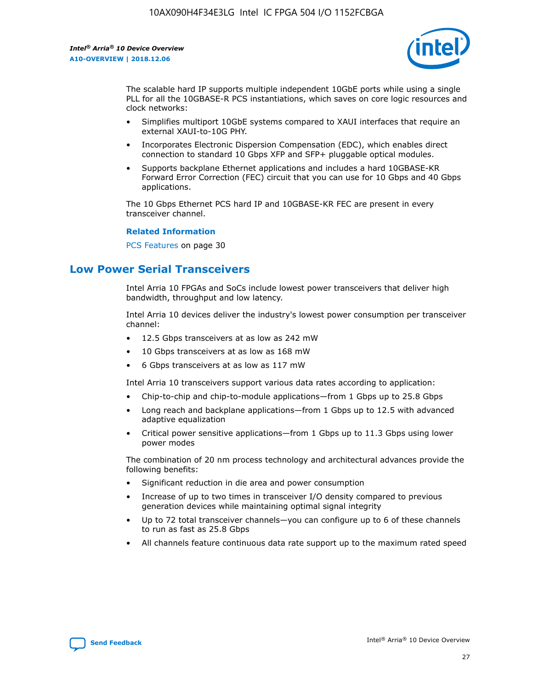

The scalable hard IP supports multiple independent 10GbE ports while using a single PLL for all the 10GBASE-R PCS instantiations, which saves on core logic resources and clock networks:

- Simplifies multiport 10GbE systems compared to XAUI interfaces that require an external XAUI-to-10G PHY.
- Incorporates Electronic Dispersion Compensation (EDC), which enables direct connection to standard 10 Gbps XFP and SFP+ pluggable optical modules.
- Supports backplane Ethernet applications and includes a hard 10GBASE-KR Forward Error Correction (FEC) circuit that you can use for 10 Gbps and 40 Gbps applications.

The 10 Gbps Ethernet PCS hard IP and 10GBASE-KR FEC are present in every transceiver channel.

#### **Related Information**

PCS Features on page 30

# **Low Power Serial Transceivers**

Intel Arria 10 FPGAs and SoCs include lowest power transceivers that deliver high bandwidth, throughput and low latency.

Intel Arria 10 devices deliver the industry's lowest power consumption per transceiver channel:

- 12.5 Gbps transceivers at as low as 242 mW
- 10 Gbps transceivers at as low as 168 mW
- 6 Gbps transceivers at as low as 117 mW

Intel Arria 10 transceivers support various data rates according to application:

- Chip-to-chip and chip-to-module applications—from 1 Gbps up to 25.8 Gbps
- Long reach and backplane applications—from 1 Gbps up to 12.5 with advanced adaptive equalization
- Critical power sensitive applications—from 1 Gbps up to 11.3 Gbps using lower power modes

The combination of 20 nm process technology and architectural advances provide the following benefits:

- Significant reduction in die area and power consumption
- Increase of up to two times in transceiver I/O density compared to previous generation devices while maintaining optimal signal integrity
- Up to 72 total transceiver channels—you can configure up to 6 of these channels to run as fast as 25.8 Gbps
- All channels feature continuous data rate support up to the maximum rated speed

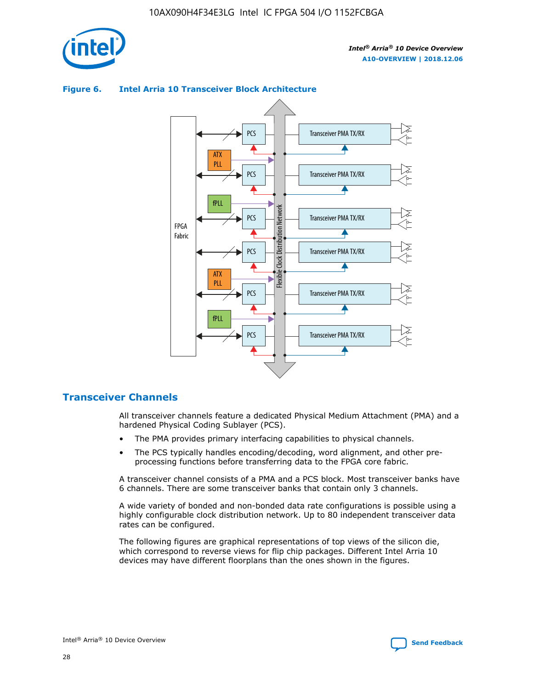



## **Figure 6. Intel Arria 10 Transceiver Block Architecture**

# **Transceiver Channels**

All transceiver channels feature a dedicated Physical Medium Attachment (PMA) and a hardened Physical Coding Sublayer (PCS).

- The PMA provides primary interfacing capabilities to physical channels.
- The PCS typically handles encoding/decoding, word alignment, and other preprocessing functions before transferring data to the FPGA core fabric.

A transceiver channel consists of a PMA and a PCS block. Most transceiver banks have 6 channels. There are some transceiver banks that contain only 3 channels.

A wide variety of bonded and non-bonded data rate configurations is possible using a highly configurable clock distribution network. Up to 80 independent transceiver data rates can be configured.

The following figures are graphical representations of top views of the silicon die, which correspond to reverse views for flip chip packages. Different Intel Arria 10 devices may have different floorplans than the ones shown in the figures.

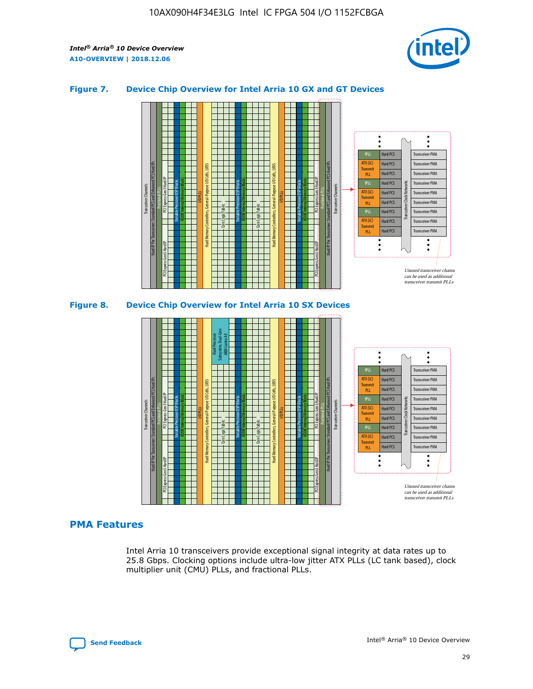

## **Figure 7. Device Chip Overview for Intel Arria 10 GX and GT Devices**



M20K Internal Memory Blocks Core Logic Fabric Transceiver Channels Hard IP Per Transceiver: Standard PCS and Enhanced PCS Hard IPs PCI Express Gen3 Hard IP Fractional PLLs M20K Internal Memory Blocks PCI Express Gen3 Hard IP Variable Precision DSP Blocks I/O PLLs Hard Memory Controllers, General-Purpose I/O Cells, LVDS Hard Processor Subsystem, Dual-Core ARM Cortex A9 M20K Internal Memory Blocks Variable Precision DSP Blocks M20K Internal Memory Blocks Core Logic Fabric I/O PLLs Hard Memory Controllers, General-Purpose I/O Cells, LVDS M20K Internal Memory Blocks Variable Precision DSP Blocks M20K Internal Memory Blocks Transceiver Channels Hard IP Per Transceiver: Standard PCS and Enhanced PCS Hard IPs PCI Express Gen3 Hard IP Fractional PLLs PCI Express Gen3 Hard IP Hard PCS Hard PCS Hard PCS Hard PCS Hard PCS Hard PCS Hard PCS Hard PCS Transceiver PMA Transceiver PMA Transceiver PMA Transceiver PMA Transceiver PMA Transceiver PMA Unused transceiver chann can be used as additional transceiver transmit PLLs Transceiver PMA Transceiver PMA Transceiver Clock Networks ATX (LC) **Transmit** PLL fPLL ATX (LC) Transmi PLL fPLL ATX (LC) **Transmit** PLL

## **PMA Features**

Intel Arria 10 transceivers provide exceptional signal integrity at data rates up to 25.8 Gbps. Clocking options include ultra-low jitter ATX PLLs (LC tank based), clock multiplier unit (CMU) PLLs, and fractional PLLs.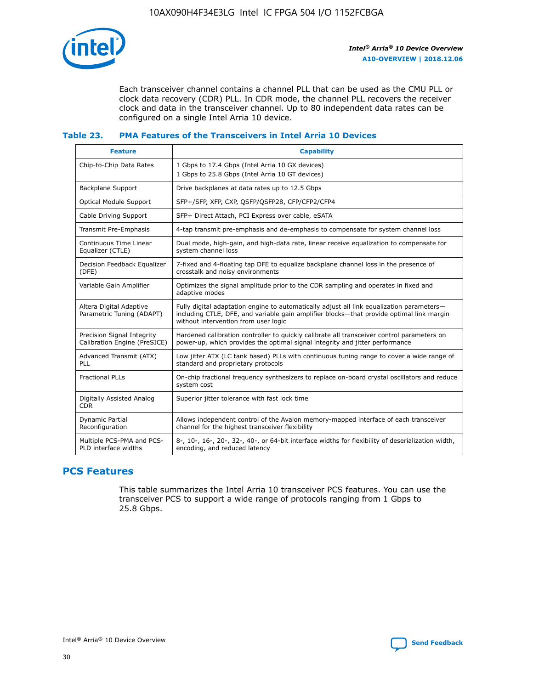

Each transceiver channel contains a channel PLL that can be used as the CMU PLL or clock data recovery (CDR) PLL. In CDR mode, the channel PLL recovers the receiver clock and data in the transceiver channel. Up to 80 independent data rates can be configured on a single Intel Arria 10 device.

## **Table 23. PMA Features of the Transceivers in Intel Arria 10 Devices**

| <b>Feature</b>                                             | <b>Capability</b>                                                                                                                                                                                                             |
|------------------------------------------------------------|-------------------------------------------------------------------------------------------------------------------------------------------------------------------------------------------------------------------------------|
| Chip-to-Chip Data Rates                                    | 1 Gbps to 17.4 Gbps (Intel Arria 10 GX devices)<br>1 Gbps to 25.8 Gbps (Intel Arria 10 GT devices)                                                                                                                            |
| <b>Backplane Support</b>                                   | Drive backplanes at data rates up to 12.5 Gbps                                                                                                                                                                                |
| <b>Optical Module Support</b>                              | SFP+/SFP, XFP, CXP, QSFP/QSFP28, CFP/CFP2/CFP4                                                                                                                                                                                |
| Cable Driving Support                                      | SFP+ Direct Attach, PCI Express over cable, eSATA                                                                                                                                                                             |
| Transmit Pre-Emphasis                                      | 4-tap transmit pre-emphasis and de-emphasis to compensate for system channel loss                                                                                                                                             |
| Continuous Time Linear<br>Equalizer (CTLE)                 | Dual mode, high-gain, and high-data rate, linear receive equalization to compensate for<br>system channel loss                                                                                                                |
| Decision Feedback Equalizer<br>(DFE)                       | 7-fixed and 4-floating tap DFE to equalize backplane channel loss in the presence of<br>crosstalk and noisy environments                                                                                                      |
| Variable Gain Amplifier                                    | Optimizes the signal amplitude prior to the CDR sampling and operates in fixed and<br>adaptive modes                                                                                                                          |
| Altera Digital Adaptive<br>Parametric Tuning (ADAPT)       | Fully digital adaptation engine to automatically adjust all link equalization parameters-<br>including CTLE, DFE, and variable gain amplifier blocks—that provide optimal link margin<br>without intervention from user logic |
| Precision Signal Integrity<br>Calibration Engine (PreSICE) | Hardened calibration controller to quickly calibrate all transceiver control parameters on<br>power-up, which provides the optimal signal integrity and jitter performance                                                    |
| Advanced Transmit (ATX)<br>PLL                             | Low jitter ATX (LC tank based) PLLs with continuous tuning range to cover a wide range of<br>standard and proprietary protocols                                                                                               |
| <b>Fractional PLLs</b>                                     | On-chip fractional frequency synthesizers to replace on-board crystal oscillators and reduce<br>system cost                                                                                                                   |
| Digitally Assisted Analog<br><b>CDR</b>                    | Superior jitter tolerance with fast lock time                                                                                                                                                                                 |
| Dynamic Partial<br>Reconfiguration                         | Allows independent control of the Avalon memory-mapped interface of each transceiver<br>channel for the highest transceiver flexibility                                                                                       |
| Multiple PCS-PMA and PCS-<br>PLD interface widths          | 8-, 10-, 16-, 20-, 32-, 40-, or 64-bit interface widths for flexibility of deserialization width,<br>encoding, and reduced latency                                                                                            |

# **PCS Features**

This table summarizes the Intel Arria 10 transceiver PCS features. You can use the transceiver PCS to support a wide range of protocols ranging from 1 Gbps to 25.8 Gbps.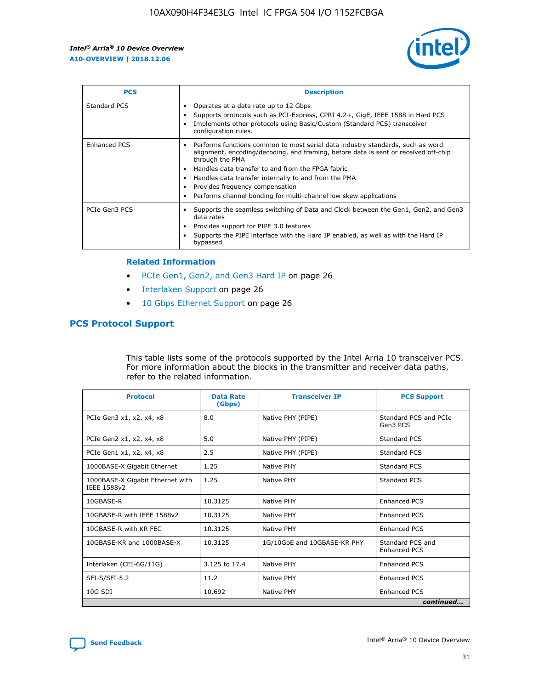

| <b>PCS</b>    | <b>Description</b>                                                                                                                                                                                                                                                                                                                                                                                             |
|---------------|----------------------------------------------------------------------------------------------------------------------------------------------------------------------------------------------------------------------------------------------------------------------------------------------------------------------------------------------------------------------------------------------------------------|
| Standard PCS  | Operates at a data rate up to 12 Gbps<br>Supports protocols such as PCI-Express, CPRI 4.2+, GigE, IEEE 1588 in Hard PCS<br>Implements other protocols using Basic/Custom (Standard PCS) transceiver<br>configuration rules.                                                                                                                                                                                    |
| Enhanced PCS  | Performs functions common to most serial data industry standards, such as word<br>alignment, encoding/decoding, and framing, before data is sent or received off-chip<br>through the PMA<br>• Handles data transfer to and from the FPGA fabric<br>Handles data transfer internally to and from the PMA<br>Provides frequency compensation<br>Performs channel bonding for multi-channel low skew applications |
| PCIe Gen3 PCS | Supports the seamless switching of Data and Clock between the Gen1, Gen2, and Gen3<br>data rates<br>Provides support for PIPE 3.0 features<br>Supports the PIPE interface with the Hard IP enabled, as well as with the Hard IP<br>bypassed                                                                                                                                                                    |

#### **Related Information**

- PCIe Gen1, Gen2, and Gen3 Hard IP on page 26
- Interlaken Support on page 26
- 10 Gbps Ethernet Support on page 26

# **PCS Protocol Support**

This table lists some of the protocols supported by the Intel Arria 10 transceiver PCS. For more information about the blocks in the transmitter and receiver data paths, refer to the related information.

| <b>Protocol</b>                                 | <b>Data Rate</b><br>(Gbps) | <b>Transceiver IP</b>       | <b>PCS Support</b>                      |
|-------------------------------------------------|----------------------------|-----------------------------|-----------------------------------------|
| PCIe Gen3 x1, x2, x4, x8                        | 8.0                        | Native PHY (PIPE)           | Standard PCS and PCIe<br>Gen3 PCS       |
| PCIe Gen2 x1, x2, x4, x8                        | 5.0                        | Native PHY (PIPE)           | <b>Standard PCS</b>                     |
| PCIe Gen1 x1, x2, x4, x8                        | 2.5                        | Native PHY (PIPE)           | Standard PCS                            |
| 1000BASE-X Gigabit Ethernet                     | 1.25                       | Native PHY                  | <b>Standard PCS</b>                     |
| 1000BASE-X Gigabit Ethernet with<br>IEEE 1588v2 | 1.25                       | Native PHY                  | Standard PCS                            |
| 10GBASE-R                                       | 10.3125                    | Native PHY                  | <b>Enhanced PCS</b>                     |
| 10GBASE-R with IEEE 1588v2                      | 10.3125                    | Native PHY                  | <b>Enhanced PCS</b>                     |
| 10GBASE-R with KR FEC                           | 10.3125                    | Native PHY                  | <b>Enhanced PCS</b>                     |
| 10GBASE-KR and 1000BASE-X                       | 10.3125                    | 1G/10GbE and 10GBASE-KR PHY | Standard PCS and<br><b>Enhanced PCS</b> |
| Interlaken (CEI-6G/11G)                         | 3.125 to 17.4              | Native PHY                  | <b>Enhanced PCS</b>                     |
| SFI-S/SFI-5.2                                   | 11.2                       | Native PHY                  | <b>Enhanced PCS</b>                     |
| $10G$ SDI                                       | 10.692                     | Native PHY                  | <b>Enhanced PCS</b>                     |
|                                                 |                            |                             | continued                               |

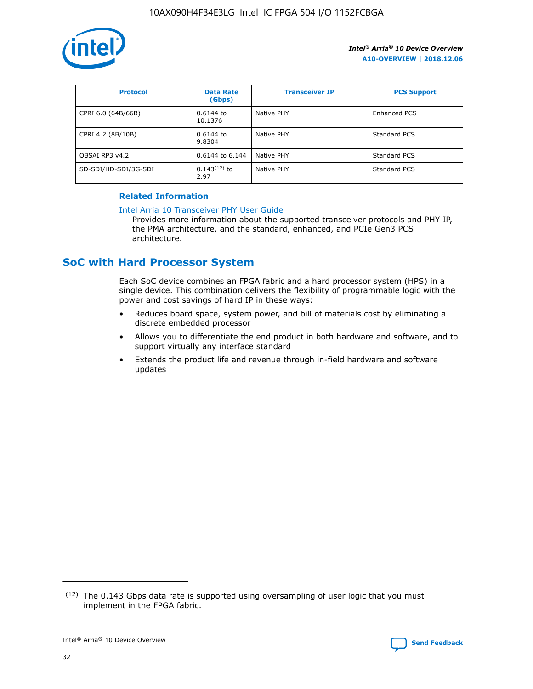

| <b>Protocol</b>      | <b>Data Rate</b><br>(Gbps) | <b>Transceiver IP</b> | <b>PCS Support</b> |
|----------------------|----------------------------|-----------------------|--------------------|
| CPRI 6.0 (64B/66B)   | 0.6144 to<br>10.1376       | Native PHY            | Enhanced PCS       |
| CPRI 4.2 (8B/10B)    | $0.6144$ to<br>9.8304      | Native PHY            | Standard PCS       |
| OBSAI RP3 v4.2       | 0.6144 to 6.144            | Native PHY            | Standard PCS       |
| SD-SDI/HD-SDI/3G-SDI | $0.143(12)$ to<br>2.97     | Native PHY            | Standard PCS       |

## **Related Information**

#### [Intel Arria 10 Transceiver PHY User Guide](https://www.intel.com/content/www/us/en/programmable/documentation/nik1398707230472.html#nik1398707091164)

Provides more information about the supported transceiver protocols and PHY IP, the PMA architecture, and the standard, enhanced, and PCIe Gen3 PCS architecture.

# **SoC with Hard Processor System**

Each SoC device combines an FPGA fabric and a hard processor system (HPS) in a single device. This combination delivers the flexibility of programmable logic with the power and cost savings of hard IP in these ways:

- Reduces board space, system power, and bill of materials cost by eliminating a discrete embedded processor
- Allows you to differentiate the end product in both hardware and software, and to support virtually any interface standard
- Extends the product life and revenue through in-field hardware and software updates

<sup>(12)</sup> The 0.143 Gbps data rate is supported using oversampling of user logic that you must implement in the FPGA fabric.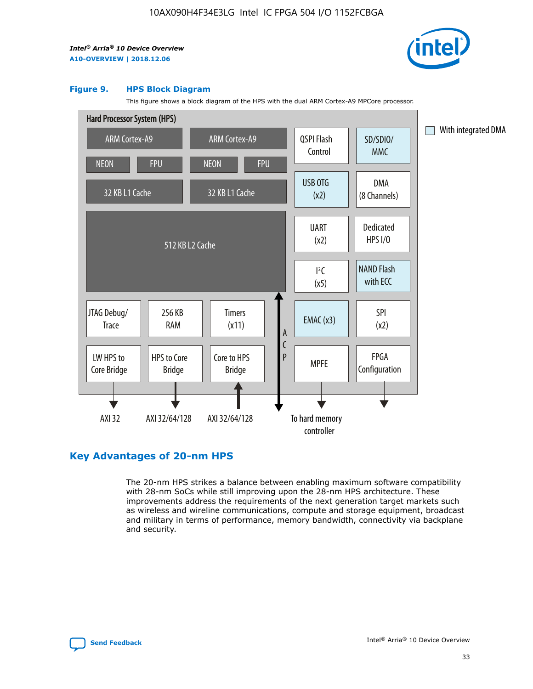

#### **Figure 9. HPS Block Diagram**

This figure shows a block diagram of the HPS with the dual ARM Cortex-A9 MPCore processor.



# **Key Advantages of 20-nm HPS**

The 20-nm HPS strikes a balance between enabling maximum software compatibility with 28-nm SoCs while still improving upon the 28-nm HPS architecture. These improvements address the requirements of the next generation target markets such as wireless and wireline communications, compute and storage equipment, broadcast and military in terms of performance, memory bandwidth, connectivity via backplane and security.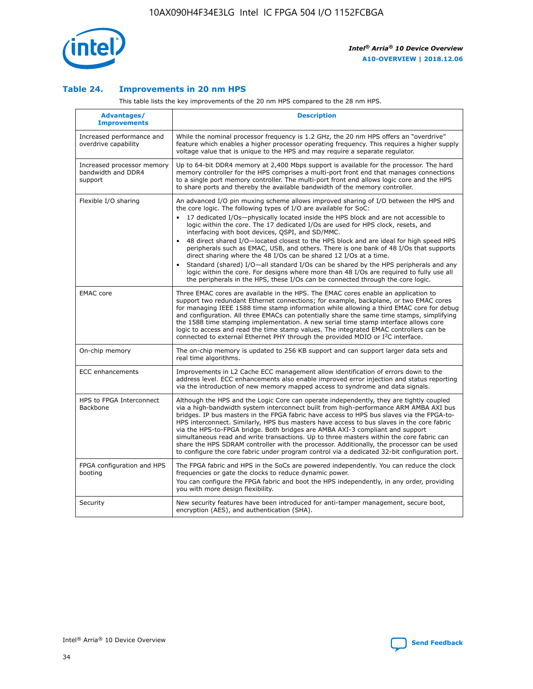

## **Table 24. Improvements in 20 nm HPS**

This table lists the key improvements of the 20 nm HPS compared to the 28 nm HPS.

| Advantages/<br><b>Improvements</b>                          | <b>Description</b>                                                                                                                                                                                                                                                                                                                                                                                                                                                                                                                                                                                                                                                                                                                                                                                                                                                                                                      |
|-------------------------------------------------------------|-------------------------------------------------------------------------------------------------------------------------------------------------------------------------------------------------------------------------------------------------------------------------------------------------------------------------------------------------------------------------------------------------------------------------------------------------------------------------------------------------------------------------------------------------------------------------------------------------------------------------------------------------------------------------------------------------------------------------------------------------------------------------------------------------------------------------------------------------------------------------------------------------------------------------|
| Increased performance and<br>overdrive capability           | While the nominal processor frequency is 1.2 GHz, the 20 nm HPS offers an "overdrive"<br>feature which enables a higher processor operating frequency. This requires a higher supply<br>voltage value that is unique to the HPS and may require a separate regulator.                                                                                                                                                                                                                                                                                                                                                                                                                                                                                                                                                                                                                                                   |
| Increased processor memory<br>bandwidth and DDR4<br>support | Up to 64-bit DDR4 memory at 2,400 Mbps support is available for the processor. The hard<br>memory controller for the HPS comprises a multi-port front end that manages connections<br>to a single port memory controller. The multi-port front end allows logic core and the HPS<br>to share ports and thereby the available bandwidth of the memory controller.                                                                                                                                                                                                                                                                                                                                                                                                                                                                                                                                                        |
| Flexible I/O sharing                                        | An advanced I/O pin muxing scheme allows improved sharing of I/O between the HPS and<br>the core logic. The following types of I/O are available for SoC:<br>17 dedicated I/Os-physically located inside the HPS block and are not accessible to<br>logic within the core. The 17 dedicated I/Os are used for HPS clock, resets, and<br>interfacing with boot devices, QSPI, and SD/MMC.<br>48 direct shared I/O-located closest to the HPS block and are ideal for high speed HPS<br>peripherals such as EMAC, USB, and others. There is one bank of 48 I/Os that supports<br>direct sharing where the 48 I/Os can be shared 12 I/Os at a time.<br>Standard (shared) I/O-all standard I/Os can be shared by the HPS peripherals and any<br>logic within the core. For designs where more than 48 I/Os are reguired to fully use all<br>the peripherals in the HPS, these I/Os can be connected through the core logic. |
| <b>EMAC</b> core                                            | Three EMAC cores are available in the HPS. The EMAC cores enable an application to<br>support two redundant Ethernet connections; for example, backplane, or two EMAC cores<br>for managing IEEE 1588 time stamp information while allowing a third EMAC core for debug<br>and configuration. All three EMACs can potentially share the same time stamps, simplifying<br>the 1588 time stamping implementation. A new serial time stamp interface allows core<br>logic to access and read the time stamp values. The integrated EMAC controllers can be<br>connected to external Ethernet PHY through the provided MDIO or I <sup>2</sup> C interface.                                                                                                                                                                                                                                                                  |
| On-chip memory                                              | The on-chip memory is updated to 256 KB support and can support larger data sets and<br>real time algorithms.                                                                                                                                                                                                                                                                                                                                                                                                                                                                                                                                                                                                                                                                                                                                                                                                           |
| <b>ECC</b> enhancements                                     | Improvements in L2 Cache ECC management allow identification of errors down to the<br>address level. ECC enhancements also enable improved error injection and status reporting<br>via the introduction of new memory mapped access to syndrome and data signals.                                                                                                                                                                                                                                                                                                                                                                                                                                                                                                                                                                                                                                                       |
| HPS to FPGA Interconnect<br>Backbone                        | Although the HPS and the Logic Core can operate independently, they are tightly coupled<br>via a high-bandwidth system interconnect built from high-performance ARM AMBA AXI bus<br>bridges. IP bus masters in the FPGA fabric have access to HPS bus slaves via the FPGA-to-<br>HPS interconnect. Similarly, HPS bus masters have access to bus slaves in the core fabric<br>via the HPS-to-FPGA bridge. Both bridges are AMBA AXI-3 compliant and support<br>simultaneous read and write transactions. Up to three masters within the core fabric can<br>share the HPS SDRAM controller with the processor. Additionally, the processor can be used<br>to configure the core fabric under program control via a dedicated 32-bit configuration port.                                                                                                                                                                  |
| FPGA configuration and HPS<br>booting                       | The FPGA fabric and HPS in the SoCs are powered independently. You can reduce the clock<br>frequencies or gate the clocks to reduce dynamic power.<br>You can configure the FPGA fabric and boot the HPS independently, in any order, providing<br>you with more design flexibility.                                                                                                                                                                                                                                                                                                                                                                                                                                                                                                                                                                                                                                    |
| Security                                                    | New security features have been introduced for anti-tamper management, secure boot,<br>encryption (AES), and authentication (SHA).                                                                                                                                                                                                                                                                                                                                                                                                                                                                                                                                                                                                                                                                                                                                                                                      |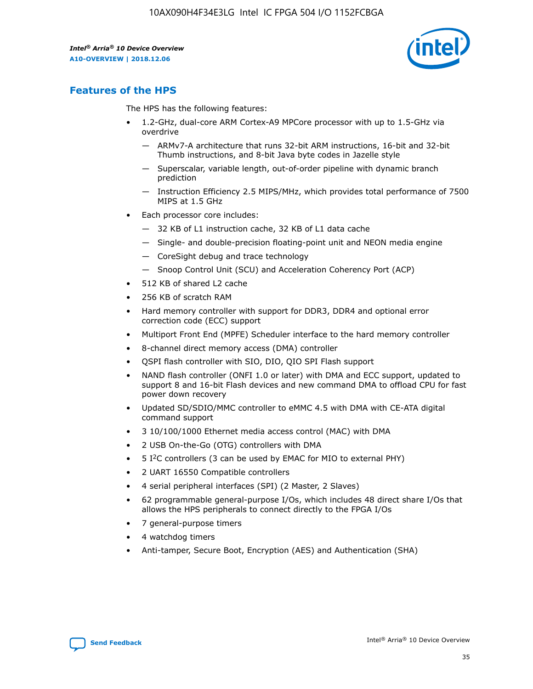

# **Features of the HPS**

The HPS has the following features:

- 1.2-GHz, dual-core ARM Cortex-A9 MPCore processor with up to 1.5-GHz via overdrive
	- ARMv7-A architecture that runs 32-bit ARM instructions, 16-bit and 32-bit Thumb instructions, and 8-bit Java byte codes in Jazelle style
	- Superscalar, variable length, out-of-order pipeline with dynamic branch prediction
	- Instruction Efficiency 2.5 MIPS/MHz, which provides total performance of 7500 MIPS at 1.5 GHz
- Each processor core includes:
	- 32 KB of L1 instruction cache, 32 KB of L1 data cache
	- Single- and double-precision floating-point unit and NEON media engine
	- CoreSight debug and trace technology
	- Snoop Control Unit (SCU) and Acceleration Coherency Port (ACP)
- 512 KB of shared L2 cache
- 256 KB of scratch RAM
- Hard memory controller with support for DDR3, DDR4 and optional error correction code (ECC) support
- Multiport Front End (MPFE) Scheduler interface to the hard memory controller
- 8-channel direct memory access (DMA) controller
- QSPI flash controller with SIO, DIO, QIO SPI Flash support
- NAND flash controller (ONFI 1.0 or later) with DMA and ECC support, updated to support 8 and 16-bit Flash devices and new command DMA to offload CPU for fast power down recovery
- Updated SD/SDIO/MMC controller to eMMC 4.5 with DMA with CE-ATA digital command support
- 3 10/100/1000 Ethernet media access control (MAC) with DMA
- 2 USB On-the-Go (OTG) controllers with DMA
- $\bullet$  5 I<sup>2</sup>C controllers (3 can be used by EMAC for MIO to external PHY)
- 2 UART 16550 Compatible controllers
- 4 serial peripheral interfaces (SPI) (2 Master, 2 Slaves)
- 62 programmable general-purpose I/Os, which includes 48 direct share I/Os that allows the HPS peripherals to connect directly to the FPGA I/Os
- 7 general-purpose timers
- 4 watchdog timers
- Anti-tamper, Secure Boot, Encryption (AES) and Authentication (SHA)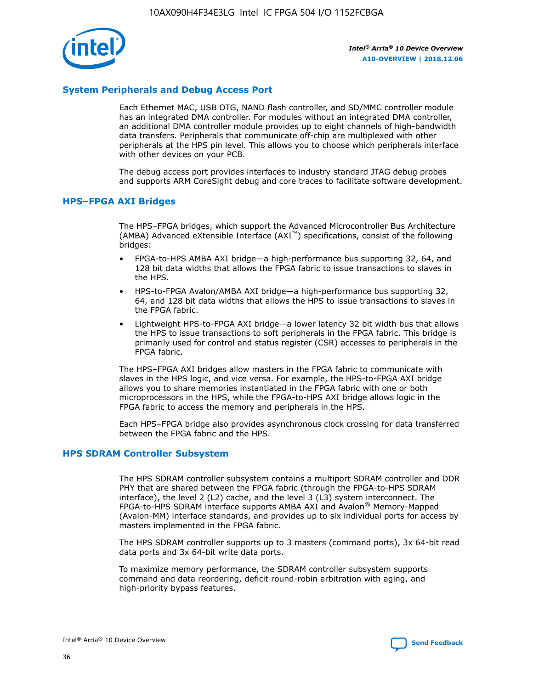

## **System Peripherals and Debug Access Port**

Each Ethernet MAC, USB OTG, NAND flash controller, and SD/MMC controller module has an integrated DMA controller. For modules without an integrated DMA controller, an additional DMA controller module provides up to eight channels of high-bandwidth data transfers. Peripherals that communicate off-chip are multiplexed with other peripherals at the HPS pin level. This allows you to choose which peripherals interface with other devices on your PCB.

The debug access port provides interfaces to industry standard JTAG debug probes and supports ARM CoreSight debug and core traces to facilitate software development.

## **HPS–FPGA AXI Bridges**

The HPS–FPGA bridges, which support the Advanced Microcontroller Bus Architecture (AMBA) Advanced eXtensible Interface (AXI™) specifications, consist of the following bridges:

- FPGA-to-HPS AMBA AXI bridge—a high-performance bus supporting 32, 64, and 128 bit data widths that allows the FPGA fabric to issue transactions to slaves in the HPS.
- HPS-to-FPGA Avalon/AMBA AXI bridge—a high-performance bus supporting 32, 64, and 128 bit data widths that allows the HPS to issue transactions to slaves in the FPGA fabric.
- Lightweight HPS-to-FPGA AXI bridge—a lower latency 32 bit width bus that allows the HPS to issue transactions to soft peripherals in the FPGA fabric. This bridge is primarily used for control and status register (CSR) accesses to peripherals in the FPGA fabric.

The HPS–FPGA AXI bridges allow masters in the FPGA fabric to communicate with slaves in the HPS logic, and vice versa. For example, the HPS-to-FPGA AXI bridge allows you to share memories instantiated in the FPGA fabric with one or both microprocessors in the HPS, while the FPGA-to-HPS AXI bridge allows logic in the FPGA fabric to access the memory and peripherals in the HPS.

Each HPS–FPGA bridge also provides asynchronous clock crossing for data transferred between the FPGA fabric and the HPS.

#### **HPS SDRAM Controller Subsystem**

The HPS SDRAM controller subsystem contains a multiport SDRAM controller and DDR PHY that are shared between the FPGA fabric (through the FPGA-to-HPS SDRAM interface), the level 2 (L2) cache, and the level 3 (L3) system interconnect. The FPGA-to-HPS SDRAM interface supports AMBA AXI and Avalon® Memory-Mapped (Avalon-MM) interface standards, and provides up to six individual ports for access by masters implemented in the FPGA fabric.

The HPS SDRAM controller supports up to 3 masters (command ports), 3x 64-bit read data ports and 3x 64-bit write data ports.

To maximize memory performance, the SDRAM controller subsystem supports command and data reordering, deficit round-robin arbitration with aging, and high-priority bypass features.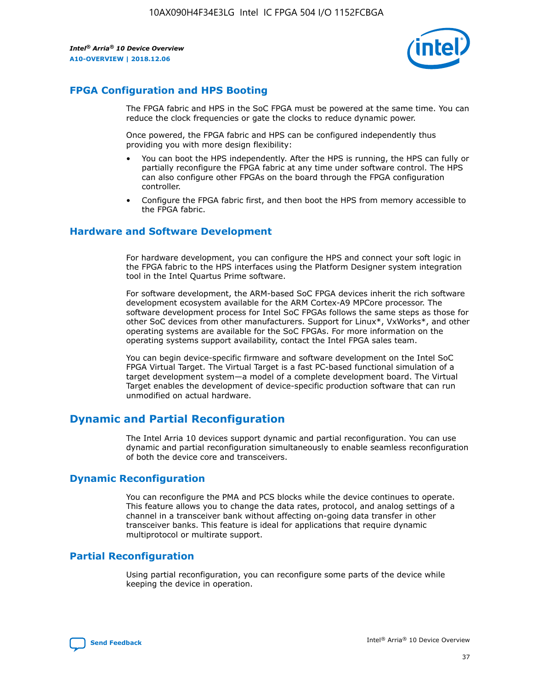

# **FPGA Configuration and HPS Booting**

The FPGA fabric and HPS in the SoC FPGA must be powered at the same time. You can reduce the clock frequencies or gate the clocks to reduce dynamic power.

Once powered, the FPGA fabric and HPS can be configured independently thus providing you with more design flexibility:

- You can boot the HPS independently. After the HPS is running, the HPS can fully or partially reconfigure the FPGA fabric at any time under software control. The HPS can also configure other FPGAs on the board through the FPGA configuration controller.
- Configure the FPGA fabric first, and then boot the HPS from memory accessible to the FPGA fabric.

## **Hardware and Software Development**

For hardware development, you can configure the HPS and connect your soft logic in the FPGA fabric to the HPS interfaces using the Platform Designer system integration tool in the Intel Quartus Prime software.

For software development, the ARM-based SoC FPGA devices inherit the rich software development ecosystem available for the ARM Cortex-A9 MPCore processor. The software development process for Intel SoC FPGAs follows the same steps as those for other SoC devices from other manufacturers. Support for Linux\*, VxWorks\*, and other operating systems are available for the SoC FPGAs. For more information on the operating systems support availability, contact the Intel FPGA sales team.

You can begin device-specific firmware and software development on the Intel SoC FPGA Virtual Target. The Virtual Target is a fast PC-based functional simulation of a target development system—a model of a complete development board. The Virtual Target enables the development of device-specific production software that can run unmodified on actual hardware.

# **Dynamic and Partial Reconfiguration**

The Intel Arria 10 devices support dynamic and partial reconfiguration. You can use dynamic and partial reconfiguration simultaneously to enable seamless reconfiguration of both the device core and transceivers.

# **Dynamic Reconfiguration**

You can reconfigure the PMA and PCS blocks while the device continues to operate. This feature allows you to change the data rates, protocol, and analog settings of a channel in a transceiver bank without affecting on-going data transfer in other transceiver banks. This feature is ideal for applications that require dynamic multiprotocol or multirate support.

# **Partial Reconfiguration**

Using partial reconfiguration, you can reconfigure some parts of the device while keeping the device in operation.

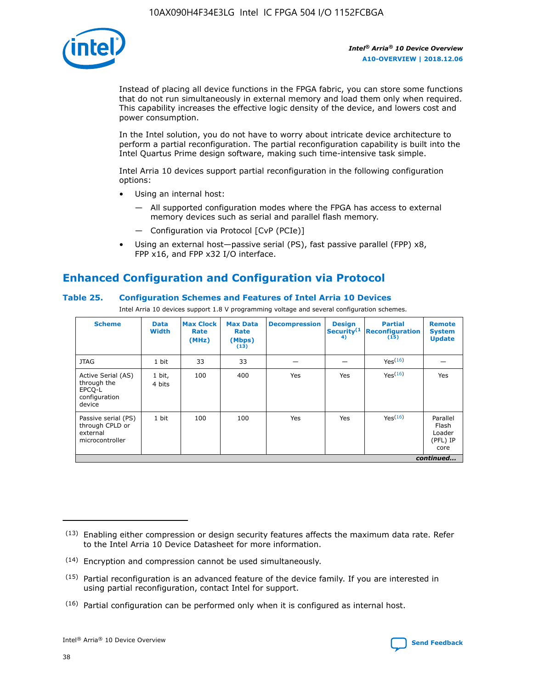

Instead of placing all device functions in the FPGA fabric, you can store some functions that do not run simultaneously in external memory and load them only when required. This capability increases the effective logic density of the device, and lowers cost and power consumption.

In the Intel solution, you do not have to worry about intricate device architecture to perform a partial reconfiguration. The partial reconfiguration capability is built into the Intel Quartus Prime design software, making such time-intensive task simple.

Intel Arria 10 devices support partial reconfiguration in the following configuration options:

- Using an internal host:
	- All supported configuration modes where the FPGA has access to external memory devices such as serial and parallel flash memory.
	- Configuration via Protocol [CvP (PCIe)]
- Using an external host—passive serial (PS), fast passive parallel (FPP) x8, FPP x16, and FPP x32 I/O interface.

# **Enhanced Configuration and Configuration via Protocol**

## **Table 25. Configuration Schemes and Features of Intel Arria 10 Devices**

Intel Arria 10 devices support 1.8 V programming voltage and several configuration schemes.

| <b>Scheme</b>                                                          | <b>Data</b><br><b>Width</b> | <b>Max Clock</b><br>Rate<br>(MHz) | <b>Max Data</b><br>Rate<br>(Mbps)<br>(13) | <b>Decompression</b> | <b>Design</b><br>Security <sup>(1</sup><br>4) | <b>Partial</b><br>Reconfiguration<br>(15) | <b>Remote</b><br><b>System</b><br><b>Update</b> |
|------------------------------------------------------------------------|-----------------------------|-----------------------------------|-------------------------------------------|----------------------|-----------------------------------------------|-------------------------------------------|-------------------------------------------------|
| <b>JTAG</b>                                                            | 1 bit                       | 33                                | 33                                        |                      |                                               | Yes <sup>(16)</sup>                       |                                                 |
| Active Serial (AS)<br>through the<br>EPCO-L<br>configuration<br>device | 1 bit,<br>4 bits            | 100                               | 400                                       | Yes                  | Yes                                           | $Y_{PS}(16)$                              | Yes                                             |
| Passive serial (PS)<br>through CPLD or<br>external<br>microcontroller  | 1 bit                       | 100                               | 100                                       | Yes                  | Yes                                           | Yes(16)                                   | Parallel<br>Flash<br>Loader<br>(PFL) IP<br>core |
|                                                                        | continued                   |                                   |                                           |                      |                                               |                                           |                                                 |

<sup>(13)</sup> Enabling either compression or design security features affects the maximum data rate. Refer to the Intel Arria 10 Device Datasheet for more information.

<sup>(14)</sup> Encryption and compression cannot be used simultaneously.

 $(15)$  Partial reconfiguration is an advanced feature of the device family. If you are interested in using partial reconfiguration, contact Intel for support.

 $(16)$  Partial configuration can be performed only when it is configured as internal host.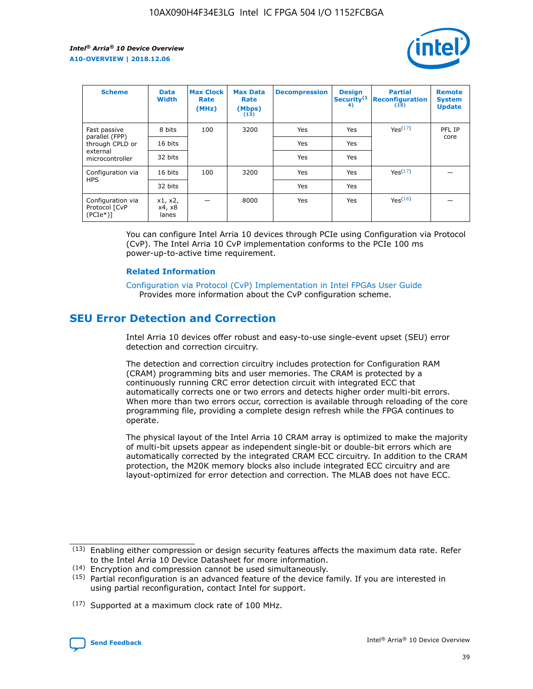

| <b>Scheme</b>                                   | <b>Data</b><br><b>Width</b> | <b>Max Clock</b><br>Rate<br>(MHz) | <b>Max Data</b><br>Rate<br>(Mbps)<br>(13) | <b>Decompression</b> | <b>Design</b><br>Security <sup>(1</sup><br>4) | <b>Partial</b><br><b>Reconfiguration</b><br>(15) | <b>Remote</b><br><b>System</b><br><b>Update</b> |
|-------------------------------------------------|-----------------------------|-----------------------------------|-------------------------------------------|----------------------|-----------------------------------------------|--------------------------------------------------|-------------------------------------------------|
| Fast passive                                    | 8 bits                      | 100                               | 3200                                      | Yes                  | Yes                                           | Yes(17)                                          | PFL IP                                          |
| parallel (FPP)<br>through CPLD or               | 16 bits                     |                                   |                                           | Yes                  | Yes                                           |                                                  | core                                            |
| external<br>microcontroller                     | 32 bits                     |                                   |                                           | Yes                  | Yes                                           |                                                  |                                                 |
| Configuration via                               | 16 bits                     | 100                               | 3200                                      | Yes                  | Yes                                           | Yes <sup>(17)</sup>                              |                                                 |
| <b>HPS</b>                                      | 32 bits                     |                                   |                                           | Yes                  | Yes                                           |                                                  |                                                 |
| Configuration via<br>Protocol [CvP<br>$(PCIe*)$ | x1, x2,<br>x4, x8<br>lanes  |                                   | 8000                                      | Yes                  | Yes                                           | Yes <sup>(16)</sup>                              |                                                 |

You can configure Intel Arria 10 devices through PCIe using Configuration via Protocol (CvP). The Intel Arria 10 CvP implementation conforms to the PCIe 100 ms power-up-to-active time requirement.

#### **Related Information**

[Configuration via Protocol \(CvP\) Implementation in Intel FPGAs User Guide](https://www.intel.com/content/www/us/en/programmable/documentation/dsu1441819344145.html#dsu1442269728522) Provides more information about the CvP configuration scheme.

# **SEU Error Detection and Correction**

Intel Arria 10 devices offer robust and easy-to-use single-event upset (SEU) error detection and correction circuitry.

The detection and correction circuitry includes protection for Configuration RAM (CRAM) programming bits and user memories. The CRAM is protected by a continuously running CRC error detection circuit with integrated ECC that automatically corrects one or two errors and detects higher order multi-bit errors. When more than two errors occur, correction is available through reloading of the core programming file, providing a complete design refresh while the FPGA continues to operate.

The physical layout of the Intel Arria 10 CRAM array is optimized to make the majority of multi-bit upsets appear as independent single-bit or double-bit errors which are automatically corrected by the integrated CRAM ECC circuitry. In addition to the CRAM protection, the M20K memory blocks also include integrated ECC circuitry and are layout-optimized for error detection and correction. The MLAB does not have ECC.

<sup>(17)</sup> Supported at a maximum clock rate of 100 MHz.



 $(13)$  Enabling either compression or design security features affects the maximum data rate. Refer to the Intel Arria 10 Device Datasheet for more information.

<sup>(14)</sup> Encryption and compression cannot be used simultaneously.

 $(15)$  Partial reconfiguration is an advanced feature of the device family. If you are interested in using partial reconfiguration, contact Intel for support.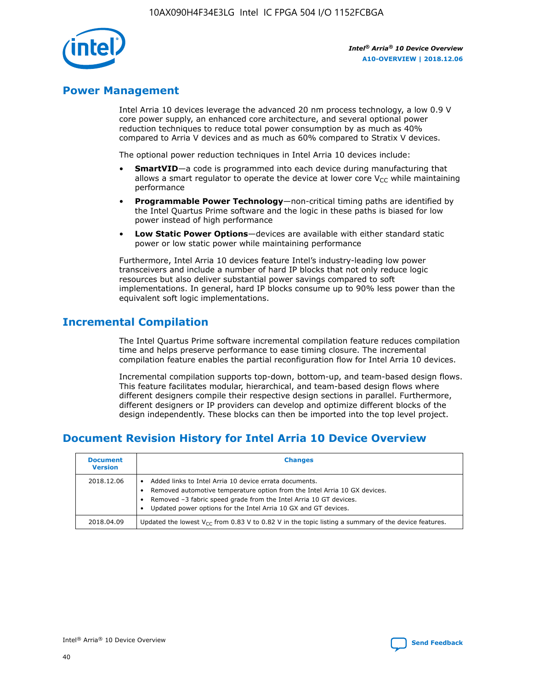

# **Power Management**

Intel Arria 10 devices leverage the advanced 20 nm process technology, a low 0.9 V core power supply, an enhanced core architecture, and several optional power reduction techniques to reduce total power consumption by as much as 40% compared to Arria V devices and as much as 60% compared to Stratix V devices.

The optional power reduction techniques in Intel Arria 10 devices include:

- **SmartVID**—a code is programmed into each device during manufacturing that allows a smart regulator to operate the device at lower core  $V_{CC}$  while maintaining performance
- **Programmable Power Technology**—non-critical timing paths are identified by the Intel Quartus Prime software and the logic in these paths is biased for low power instead of high performance
- **Low Static Power Options**—devices are available with either standard static power or low static power while maintaining performance

Furthermore, Intel Arria 10 devices feature Intel's industry-leading low power transceivers and include a number of hard IP blocks that not only reduce logic resources but also deliver substantial power savings compared to soft implementations. In general, hard IP blocks consume up to 90% less power than the equivalent soft logic implementations.

# **Incremental Compilation**

The Intel Quartus Prime software incremental compilation feature reduces compilation time and helps preserve performance to ease timing closure. The incremental compilation feature enables the partial reconfiguration flow for Intel Arria 10 devices.

Incremental compilation supports top-down, bottom-up, and team-based design flows. This feature facilitates modular, hierarchical, and team-based design flows where different designers compile their respective design sections in parallel. Furthermore, different designers or IP providers can develop and optimize different blocks of the design independently. These blocks can then be imported into the top level project.

# **Document Revision History for Intel Arria 10 Device Overview**

| <b>Document</b><br><b>Version</b> | <b>Changes</b>                                                                                                                                                                                                                                                              |
|-----------------------------------|-----------------------------------------------------------------------------------------------------------------------------------------------------------------------------------------------------------------------------------------------------------------------------|
| 2018.12.06                        | Added links to Intel Arria 10 device errata documents.<br>Removed automotive temperature option from the Intel Arria 10 GX devices.<br>Removed -3 fabric speed grade from the Intel Arria 10 GT devices.<br>Updated power options for the Intel Arria 10 GX and GT devices. |
| 2018.04.09                        | Updated the lowest $V_{CC}$ from 0.83 V to 0.82 V in the topic listing a summary of the device features.                                                                                                                                                                    |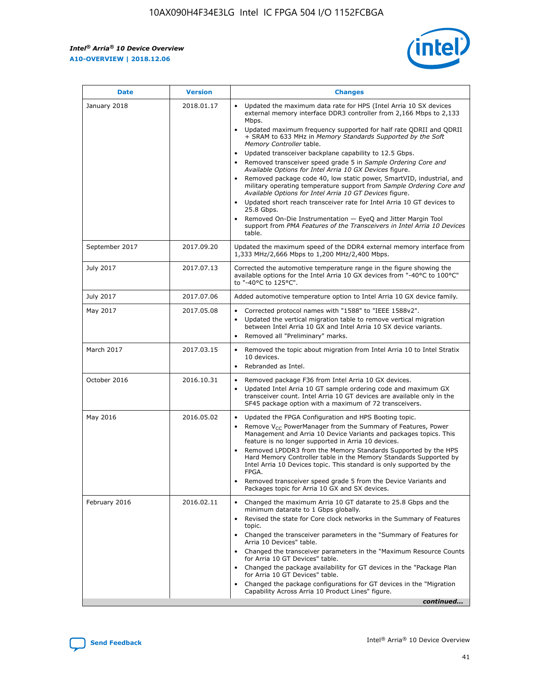*Intel® Arria® 10 Device Overview* **A10-OVERVIEW | 2018.12.06**



| <b>Date</b>    | <b>Version</b> | <b>Changes</b>                                                                                                                                                                                                                                                                                                                                                                                                                                                                                                                                                                                                                                                                                                                                                                                                                                                                                                                                                                         |
|----------------|----------------|----------------------------------------------------------------------------------------------------------------------------------------------------------------------------------------------------------------------------------------------------------------------------------------------------------------------------------------------------------------------------------------------------------------------------------------------------------------------------------------------------------------------------------------------------------------------------------------------------------------------------------------------------------------------------------------------------------------------------------------------------------------------------------------------------------------------------------------------------------------------------------------------------------------------------------------------------------------------------------------|
| January 2018   | 2018.01.17     | Updated the maximum data rate for HPS (Intel Arria 10 SX devices<br>external memory interface DDR3 controller from 2,166 Mbps to 2,133<br>Mbps.<br>Updated maximum frequency supported for half rate QDRII and QDRII<br>+ SRAM to 633 MHz in Memory Standards Supported by the Soft<br>Memory Controller table.<br>Updated transceiver backplane capability to 12.5 Gbps.<br>$\bullet$<br>Removed transceiver speed grade 5 in Sample Ordering Core and<br>$\bullet$<br>Available Options for Intel Arria 10 GX Devices figure.<br>Removed package code 40, low static power, SmartVID, industrial, and<br>military operating temperature support from Sample Ordering Core and<br>Available Options for Intel Arria 10 GT Devices figure.<br>Updated short reach transceiver rate for Intel Arria 10 GT devices to<br>25.8 Gbps.<br>Removed On-Die Instrumentation - EyeQ and Jitter Margin Tool<br>support from PMA Features of the Transceivers in Intel Arria 10 Devices<br>table. |
| September 2017 | 2017.09.20     | Updated the maximum speed of the DDR4 external memory interface from<br>1,333 MHz/2,666 Mbps to 1,200 MHz/2,400 Mbps.                                                                                                                                                                                                                                                                                                                                                                                                                                                                                                                                                                                                                                                                                                                                                                                                                                                                  |
| July 2017      | 2017.07.13     | Corrected the automotive temperature range in the figure showing the<br>available options for the Intel Arria 10 GX devices from "-40°C to 100°C"<br>to "-40°C to 125°C".                                                                                                                                                                                                                                                                                                                                                                                                                                                                                                                                                                                                                                                                                                                                                                                                              |
| July 2017      | 2017.07.06     | Added automotive temperature option to Intel Arria 10 GX device family.                                                                                                                                                                                                                                                                                                                                                                                                                                                                                                                                                                                                                                                                                                                                                                                                                                                                                                                |
| May 2017       | 2017.05.08     | Corrected protocol names with "1588" to "IEEE 1588v2".<br>$\bullet$<br>Updated the vertical migration table to remove vertical migration<br>$\bullet$<br>between Intel Arria 10 GX and Intel Arria 10 SX device variants.<br>Removed all "Preliminary" marks.<br>$\bullet$                                                                                                                                                                                                                                                                                                                                                                                                                                                                                                                                                                                                                                                                                                             |
| March 2017     | 2017.03.15     | Removed the topic about migration from Intel Arria 10 to Intel Stratix<br>$\bullet$<br>10 devices.<br>Rebranded as Intel.<br>$\bullet$                                                                                                                                                                                                                                                                                                                                                                                                                                                                                                                                                                                                                                                                                                                                                                                                                                                 |
| October 2016   | 2016.10.31     | Removed package F36 from Intel Arria 10 GX devices.<br>Updated Intel Arria 10 GT sample ordering code and maximum GX<br>$\bullet$<br>transceiver count. Intel Arria 10 GT devices are available only in the<br>SF45 package option with a maximum of 72 transceivers.                                                                                                                                                                                                                                                                                                                                                                                                                                                                                                                                                                                                                                                                                                                  |
| May 2016       | 2016.05.02     | Updated the FPGA Configuration and HPS Booting topic.<br>$\bullet$<br>Remove V <sub>CC</sub> PowerManager from the Summary of Features, Power<br>Management and Arria 10 Device Variants and packages topics. This<br>feature is no longer supported in Arria 10 devices.<br>Removed LPDDR3 from the Memory Standards Supported by the HPS<br>Hard Memory Controller table in the Memory Standards Supported by<br>Intel Arria 10 Devices topic. This standard is only supported by the<br>FPGA.<br>Removed transceiver speed grade 5 from the Device Variants and<br>Packages topic for Arria 10 GX and SX devices.                                                                                                                                                                                                                                                                                                                                                                   |
| February 2016  | 2016.02.11     | Changed the maximum Arria 10 GT datarate to 25.8 Gbps and the<br>minimum datarate to 1 Gbps globally.<br>Revised the state for Core clock networks in the Summary of Features<br>$\bullet$<br>topic.<br>Changed the transceiver parameters in the "Summary of Features for<br>$\bullet$<br>Arria 10 Devices" table.<br>• Changed the transceiver parameters in the "Maximum Resource Counts<br>for Arria 10 GT Devices" table.<br>Changed the package availability for GT devices in the "Package Plan<br>for Arria 10 GT Devices" table.<br>Changed the package configurations for GT devices in the "Migration"<br>Capability Across Arria 10 Product Lines" figure.<br>continued                                                                                                                                                                                                                                                                                                    |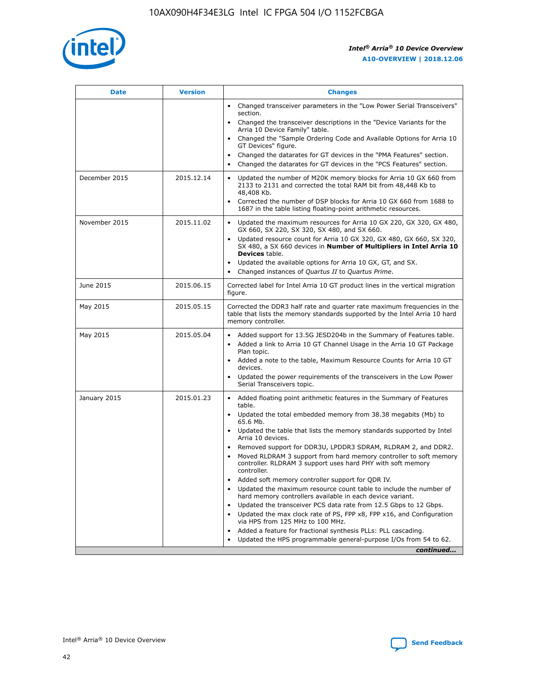

| <b>Date</b>   | <b>Version</b> | <b>Changes</b>                                                                                                                                                               |
|---------------|----------------|------------------------------------------------------------------------------------------------------------------------------------------------------------------------------|
|               |                | Changed transceiver parameters in the "Low Power Serial Transceivers"<br>section.                                                                                            |
|               |                | • Changed the transceiver descriptions in the "Device Variants for the<br>Arria 10 Device Family" table.                                                                     |
|               |                | Changed the "Sample Ordering Code and Available Options for Arria 10<br>GT Devices" figure.                                                                                  |
|               |                | Changed the datarates for GT devices in the "PMA Features" section.                                                                                                          |
|               |                | Changed the datarates for GT devices in the "PCS Features" section.<br>$\bullet$                                                                                             |
| December 2015 | 2015.12.14     | Updated the number of M20K memory blocks for Arria 10 GX 660 from<br>2133 to 2131 and corrected the total RAM bit from 48,448 Kb to<br>48,408 Kb.                            |
|               |                | Corrected the number of DSP blocks for Arria 10 GX 660 from 1688 to<br>$\bullet$<br>1687 in the table listing floating-point arithmetic resources.                           |
| November 2015 | 2015.11.02     | Updated the maximum resources for Arria 10 GX 220, GX 320, GX 480,<br>GX 660, SX 220, SX 320, SX 480, and SX 660.                                                            |
|               |                | Updated resource count for Arria 10 GX 320, GX 480, GX 660, SX 320,<br>SX 480, a SX 660 devices in Number of Multipliers in Intel Arria 10<br><b>Devices</b> table.          |
|               |                | Updated the available options for Arria 10 GX, GT, and SX.<br>$\bullet$                                                                                                      |
|               |                | Changed instances of Quartus II to Quartus Prime.<br>$\bullet$                                                                                                               |
| June 2015     | 2015.06.15     | Corrected label for Intel Arria 10 GT product lines in the vertical migration<br>figure.                                                                                     |
| May 2015      | 2015.05.15     | Corrected the DDR3 half rate and quarter rate maximum frequencies in the<br>table that lists the memory standards supported by the Intel Arria 10 hard<br>memory controller. |
| May 2015      | 2015.05.04     | Added support for 13.5G JESD204b in the Summary of Features table.<br>Added a link to Arria 10 GT Channel Usage in the Arria 10 GT Package                                   |
|               |                | Plan topic.                                                                                                                                                                  |
|               |                | • Added a note to the table, Maximum Resource Counts for Arria 10 GT<br>devices.                                                                                             |
|               |                | Updated the power requirements of the transceivers in the Low Power<br>Serial Transceivers topic.                                                                            |
| January 2015  | 2015.01.23     | • Added floating point arithmetic features in the Summary of Features<br>table.                                                                                              |
|               |                | Updated the total embedded memory from 38.38 megabits (Mb) to<br>$\bullet$<br>65.6 Mb.                                                                                       |
|               |                | • Updated the table that lists the memory standards supported by Intel<br>Arria 10 devices.                                                                                  |
|               |                | Removed support for DDR3U, LPDDR3 SDRAM, RLDRAM 2, and DDR2.                                                                                                                 |
|               |                | Moved RLDRAM 3 support from hard memory controller to soft memory<br>controller. RLDRAM 3 support uses hard PHY with soft memory<br>controller.                              |
|               |                | Added soft memory controller support for QDR IV.                                                                                                                             |
|               |                | Updated the maximum resource count table to include the number of<br>$\bullet$<br>hard memory controllers available in each device variant.                                  |
|               |                | Updated the transceiver PCS data rate from 12.5 Gbps to 12 Gbps.                                                                                                             |
|               |                | Updated the max clock rate of PS, FPP x8, FPP x16, and Configuration<br>via HPS from 125 MHz to 100 MHz.                                                                     |
|               |                | Added a feature for fractional synthesis PLLs: PLL cascading.                                                                                                                |
|               |                | Updated the HPS programmable general-purpose I/Os from 54 to 62.<br>$\bullet$                                                                                                |
|               |                | continued                                                                                                                                                                    |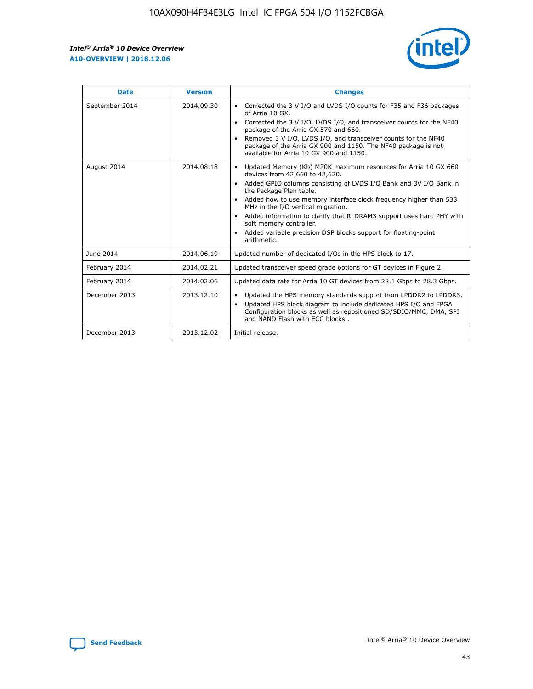r



| <b>Date</b>    | <b>Version</b> | <b>Changes</b>                                                                                                                                                                                                                                                                                                                                                                                                                                                                                                                                      |
|----------------|----------------|-----------------------------------------------------------------------------------------------------------------------------------------------------------------------------------------------------------------------------------------------------------------------------------------------------------------------------------------------------------------------------------------------------------------------------------------------------------------------------------------------------------------------------------------------------|
| September 2014 | 2014.09.30     | Corrected the 3 V I/O and LVDS I/O counts for F35 and F36 packages<br>$\bullet$<br>of Arria 10 GX.<br>Corrected the 3 V I/O, LVDS I/O, and transceiver counts for the NF40<br>$\bullet$<br>package of the Arria GX 570 and 660.<br>Removed 3 V I/O, LVDS I/O, and transceiver counts for the NF40<br>$\bullet$<br>package of the Arria GX 900 and 1150. The NF40 package is not<br>available for Arria 10 GX 900 and 1150.                                                                                                                          |
| August 2014    | 2014.08.18     | Updated Memory (Kb) M20K maximum resources for Arria 10 GX 660<br>devices from 42,660 to 42,620.<br>Added GPIO columns consisting of LVDS I/O Bank and 3V I/O Bank in<br>$\bullet$<br>the Package Plan table.<br>Added how to use memory interface clock frequency higher than 533<br>$\bullet$<br>MHz in the I/O vertical migration.<br>Added information to clarify that RLDRAM3 support uses hard PHY with<br>$\bullet$<br>soft memory controller.<br>Added variable precision DSP blocks support for floating-point<br>$\bullet$<br>arithmetic. |
| June 2014      | 2014.06.19     | Updated number of dedicated I/Os in the HPS block to 17.                                                                                                                                                                                                                                                                                                                                                                                                                                                                                            |
| February 2014  | 2014.02.21     | Updated transceiver speed grade options for GT devices in Figure 2.                                                                                                                                                                                                                                                                                                                                                                                                                                                                                 |
| February 2014  | 2014.02.06     | Updated data rate for Arria 10 GT devices from 28.1 Gbps to 28.3 Gbps.                                                                                                                                                                                                                                                                                                                                                                                                                                                                              |
| December 2013  | 2013.12.10     | Updated the HPS memory standards support from LPDDR2 to LPDDR3.<br>Updated HPS block diagram to include dedicated HPS I/O and FPGA<br>$\bullet$<br>Configuration blocks as well as repositioned SD/SDIO/MMC, DMA, SPI<br>and NAND Flash with ECC blocks.                                                                                                                                                                                                                                                                                            |
| December 2013  | 2013.12.02     | Initial release.                                                                                                                                                                                                                                                                                                                                                                                                                                                                                                                                    |